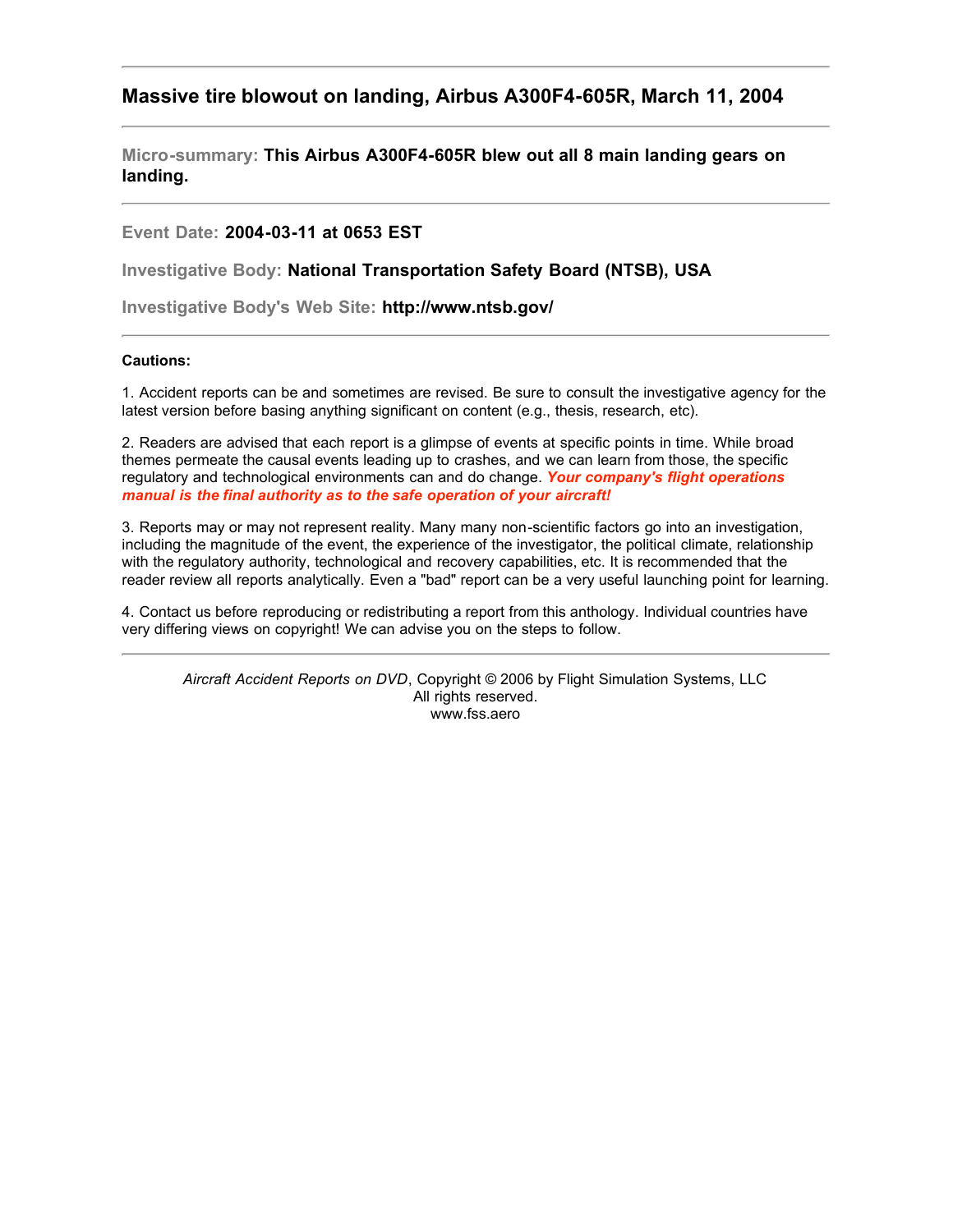# **Massive tire blowout on landing, Airbus A300F4-605R, March 11, 2004**

**Micro-summary: This Airbus A300F4-605R blew out all 8 main landing gears on landing.**

## **Event Date: 2004-03-11 at 0653 EST**

**Investigative Body: National Transportation Safety Board (NTSB), USA**

**Investigative Body's Web Site: http://www.ntsb.gov/**

### **Cautions:**

1. Accident reports can be and sometimes are revised. Be sure to consult the investigative agency for the latest version before basing anything significant on content (e.g., thesis, research, etc).

2. Readers are advised that each report is a glimpse of events at specific points in time. While broad themes permeate the causal events leading up to crashes, and we can learn from those, the specific regulatory and technological environments can and do change. *Your company's flight operations manual is the final authority as to the safe operation of your aircraft!*

3. Reports may or may not represent reality. Many many non-scientific factors go into an investigation, including the magnitude of the event, the experience of the investigator, the political climate, relationship with the regulatory authority, technological and recovery capabilities, etc. It is recommended that the reader review all reports analytically. Even a "bad" report can be a very useful launching point for learning.

4. Contact us before reproducing or redistributing a report from this anthology. Individual countries have very differing views on copyright! We can advise you on the steps to follow.

*Aircraft Accident Reports on DVD*, Copyright © 2006 by Flight Simulation Systems, LLC All rights reserved. www.fss.aero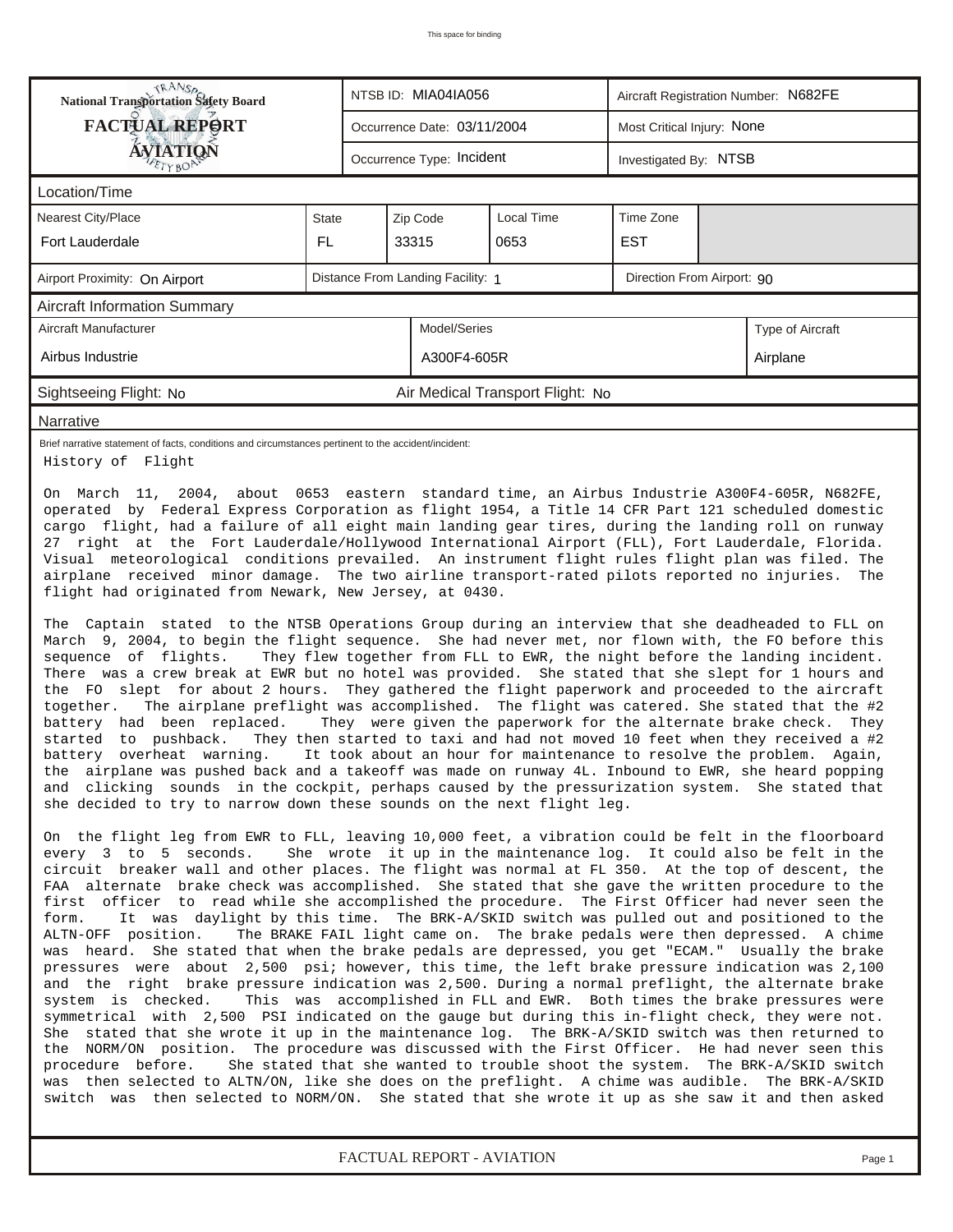| <b>TRANSA</b><br>National Transportation Safety Board<br>NTSB ID: MIA04IA056<br>Aircraft Registration Number: N682FE                                                                                                                                                                                                                                                                                                                                                                                                                                                                                                                                                                                                                                                                                                                                                                                                                                                                                                                                                                                                                                                                                                                                                                                                                                                                                                                                                                                                                                                                                                                                                                                                                                                                                                                              |              |                                                    |                                   |                                  |                            |  |                                                                                                                                                                                                                                                                                                                                                                                       |  |  |
|---------------------------------------------------------------------------------------------------------------------------------------------------------------------------------------------------------------------------------------------------------------------------------------------------------------------------------------------------------------------------------------------------------------------------------------------------------------------------------------------------------------------------------------------------------------------------------------------------------------------------------------------------------------------------------------------------------------------------------------------------------------------------------------------------------------------------------------------------------------------------------------------------------------------------------------------------------------------------------------------------------------------------------------------------------------------------------------------------------------------------------------------------------------------------------------------------------------------------------------------------------------------------------------------------------------------------------------------------------------------------------------------------------------------------------------------------------------------------------------------------------------------------------------------------------------------------------------------------------------------------------------------------------------------------------------------------------------------------------------------------------------------------------------------------------------------------------------------------|--------------|----------------------------------------------------|-----------------------------------|----------------------------------|----------------------------|--|---------------------------------------------------------------------------------------------------------------------------------------------------------------------------------------------------------------------------------------------------------------------------------------------------------------------------------------------------------------------------------------|--|--|
| <b>FACTUAL REPORT</b>                                                                                                                                                                                                                                                                                                                                                                                                                                                                                                                                                                                                                                                                                                                                                                                                                                                                                                                                                                                                                                                                                                                                                                                                                                                                                                                                                                                                                                                                                                                                                                                                                                                                                                                                                                                                                             |              |                                                    | Occurrence Date: 03/11/2004       |                                  | Most Critical Injury: None |  |                                                                                                                                                                                                                                                                                                                                                                                       |  |  |
| <b>ÁVIATIQN</b>                                                                                                                                                                                                                                                                                                                                                                                                                                                                                                                                                                                                                                                                                                                                                                                                                                                                                                                                                                                                                                                                                                                                                                                                                                                                                                                                                                                                                                                                                                                                                                                                                                                                                                                                                                                                                                   |              | Occurrence Type: Incident<br>Investigated By: NTSB |                                   |                                  |                            |  |                                                                                                                                                                                                                                                                                                                                                                                       |  |  |
| Location/Time                                                                                                                                                                                                                                                                                                                                                                                                                                                                                                                                                                                                                                                                                                                                                                                                                                                                                                                                                                                                                                                                                                                                                                                                                                                                                                                                                                                                                                                                                                                                                                                                                                                                                                                                                                                                                                     |              |                                                    |                                   |                                  |                            |  |                                                                                                                                                                                                                                                                                                                                                                                       |  |  |
| <b>Nearest City/Place</b>                                                                                                                                                                                                                                                                                                                                                                                                                                                                                                                                                                                                                                                                                                                                                                                                                                                                                                                                                                                                                                                                                                                                                                                                                                                                                                                                                                                                                                                                                                                                                                                                                                                                                                                                                                                                                         | <b>State</b> |                                                    | Zip Code                          | Local Time                       | Time Zone                  |  |                                                                                                                                                                                                                                                                                                                                                                                       |  |  |
| Fort Lauderdale                                                                                                                                                                                                                                                                                                                                                                                                                                                                                                                                                                                                                                                                                                                                                                                                                                                                                                                                                                                                                                                                                                                                                                                                                                                                                                                                                                                                                                                                                                                                                                                                                                                                                                                                                                                                                                   | FL.          | <b>EST</b><br>33315<br>0653                        |                                   |                                  |                            |  |                                                                                                                                                                                                                                                                                                                                                                                       |  |  |
| Airport Proximity: On Airport                                                                                                                                                                                                                                                                                                                                                                                                                                                                                                                                                                                                                                                                                                                                                                                                                                                                                                                                                                                                                                                                                                                                                                                                                                                                                                                                                                                                                                                                                                                                                                                                                                                                                                                                                                                                                     |              |                                                    | Distance From Landing Facility: 1 |                                  | Direction From Airport: 90 |  |                                                                                                                                                                                                                                                                                                                                                                                       |  |  |
| <b>Aircraft Information Summary</b>                                                                                                                                                                                                                                                                                                                                                                                                                                                                                                                                                                                                                                                                                                                                                                                                                                                                                                                                                                                                                                                                                                                                                                                                                                                                                                                                                                                                                                                                                                                                                                                                                                                                                                                                                                                                               |              |                                                    |                                   |                                  |                            |  |                                                                                                                                                                                                                                                                                                                                                                                       |  |  |
| Aircraft Manufacturer                                                                                                                                                                                                                                                                                                                                                                                                                                                                                                                                                                                                                                                                                                                                                                                                                                                                                                                                                                                                                                                                                                                                                                                                                                                                                                                                                                                                                                                                                                                                                                                                                                                                                                                                                                                                                             |              |                                                    | Model/Series                      |                                  |                            |  | Type of Aircraft                                                                                                                                                                                                                                                                                                                                                                      |  |  |
| Airbus Industrie                                                                                                                                                                                                                                                                                                                                                                                                                                                                                                                                                                                                                                                                                                                                                                                                                                                                                                                                                                                                                                                                                                                                                                                                                                                                                                                                                                                                                                                                                                                                                                                                                                                                                                                                                                                                                                  |              |                                                    | A300F4-605R                       |                                  |                            |  | Airplane                                                                                                                                                                                                                                                                                                                                                                              |  |  |
| Sightseeing Flight: No                                                                                                                                                                                                                                                                                                                                                                                                                                                                                                                                                                                                                                                                                                                                                                                                                                                                                                                                                                                                                                                                                                                                                                                                                                                                                                                                                                                                                                                                                                                                                                                                                                                                                                                                                                                                                            |              |                                                    |                                   | Air Medical Transport Flight: No |                            |  |                                                                                                                                                                                                                                                                                                                                                                                       |  |  |
| Narrative                                                                                                                                                                                                                                                                                                                                                                                                                                                                                                                                                                                                                                                                                                                                                                                                                                                                                                                                                                                                                                                                                                                                                                                                                                                                                                                                                                                                                                                                                                                                                                                                                                                                                                                                                                                                                                         |              |                                                    |                                   |                                  |                            |  |                                                                                                                                                                                                                                                                                                                                                                                       |  |  |
| Brief narrative statement of facts, conditions and circumstances pertinent to the accident/incident:<br>History of Flight                                                                                                                                                                                                                                                                                                                                                                                                                                                                                                                                                                                                                                                                                                                                                                                                                                                                                                                                                                                                                                                                                                                                                                                                                                                                                                                                                                                                                                                                                                                                                                                                                                                                                                                         |              |                                                    |                                   |                                  |                            |  |                                                                                                                                                                                                                                                                                                                                                                                       |  |  |
| 27 right at the Fort Lauderdale/Hollywood International Airport (FLL), Fort Lauderdale, Florida.<br>Visual meteorological conditions prevailed. An instrument flight rules flight plan was filed. The<br>airplane received minor damage. The two airline transport-rated pilots reported no injuries.<br>flight had originated from Newark, New Jersey, at 0430.<br>The Captain stated to the NTSB Operations Group during an interview that she deadheaded to FLL on<br>March 9, 2004, to begin the flight sequence. She had never met, nor flown with, the FO before this<br>sequence of flights.<br>There was a crew break at EWR but no hotel was provided. She stated that she slept for 1 hours and<br>the FO slept for about 2 hours. They gathered the flight paperwork and proceeded to the aircraft<br>The airplane preflight was accomplished. The flight was catered. She stated that the #2<br>together.<br>battery had been replaced.<br>started to pushback.<br>battery overheat warning.<br>the airplane was pushed back and a takeoff was made on runway 4L. Inbound to EWR, she heard popping<br>and clicking sounds in the cockpit, perhaps caused by the pressurization system. She stated that<br>she decided to try to narrow down these sounds on the next flight leg.<br>On the flight leg from EWR to FLL, leaving 10,000 feet, a vibration could be felt in the floorboard<br>every 3 to 5 seconds.<br>circuit breaker wall and other places. The flight was normal at FL 350. At the top of descent, the<br>FAA alternate brake check was accomplished. She stated that she gave the written procedure to the<br>first officer to read while she accomplished the procedure. The First Officer had never seen the<br>It was daylight by this time. The BRK-A/SKID switch was pulled out and positioned to the<br>form. |              |                                                    |                                   |                                  |                            |  | The<br>They flew together from FLL to EWR, the night before the landing incident.<br>They were given the paperwork for the alternate brake check. They<br>They then started to taxi and had not moved 10 feet when they received a #2<br>It took about an hour for maintenance to resolve the problem. Again,<br>She wrote it up in the maintenance log. It could also be felt in the |  |  |
| ALTN-OFF position.<br>was heard. She stated that when the brake pedals are depressed, you get "ECAM." Usually the brake<br>pressures were about 2,500 psi; however, this time, the left brake pressure indication was 2,100<br>and the right brake pressure indication was 2,500. During a normal preflight, the alternate brake<br>system is checked.<br>symmetrical with 2,500 PSI indicated on the gauge but during this in-flight check, they were not.<br>She stated that she wrote it up in the maintenance log. The BRK-A/SKID switch was then returned to<br>the NORM/ON position. The procedure was discussed with the First Officer. He had never seen this<br>procedure before. She stated that she wanted to trouble shoot the system. The BRK-A/SKID switch<br>was then selected to ALTN/ON, like she does on the preflight. A chime was audible. The BRK-A/SKID<br>switch was then selected to NORM/ON. She stated that she wrote it up as she saw it and then asked                                                                                                                                                                                                                                                                                                                                                                                                                                                                                                                                                                                                                                                                                                                                                                                                                                                                |              |                                                    |                                   |                                  |                            |  | The BRAKE FAIL light came on. The brake pedals were then depressed. A chime<br>This was accomplished in FLL and EWR. Both times the brake pressures were                                                                                                                                                                                                                              |  |  |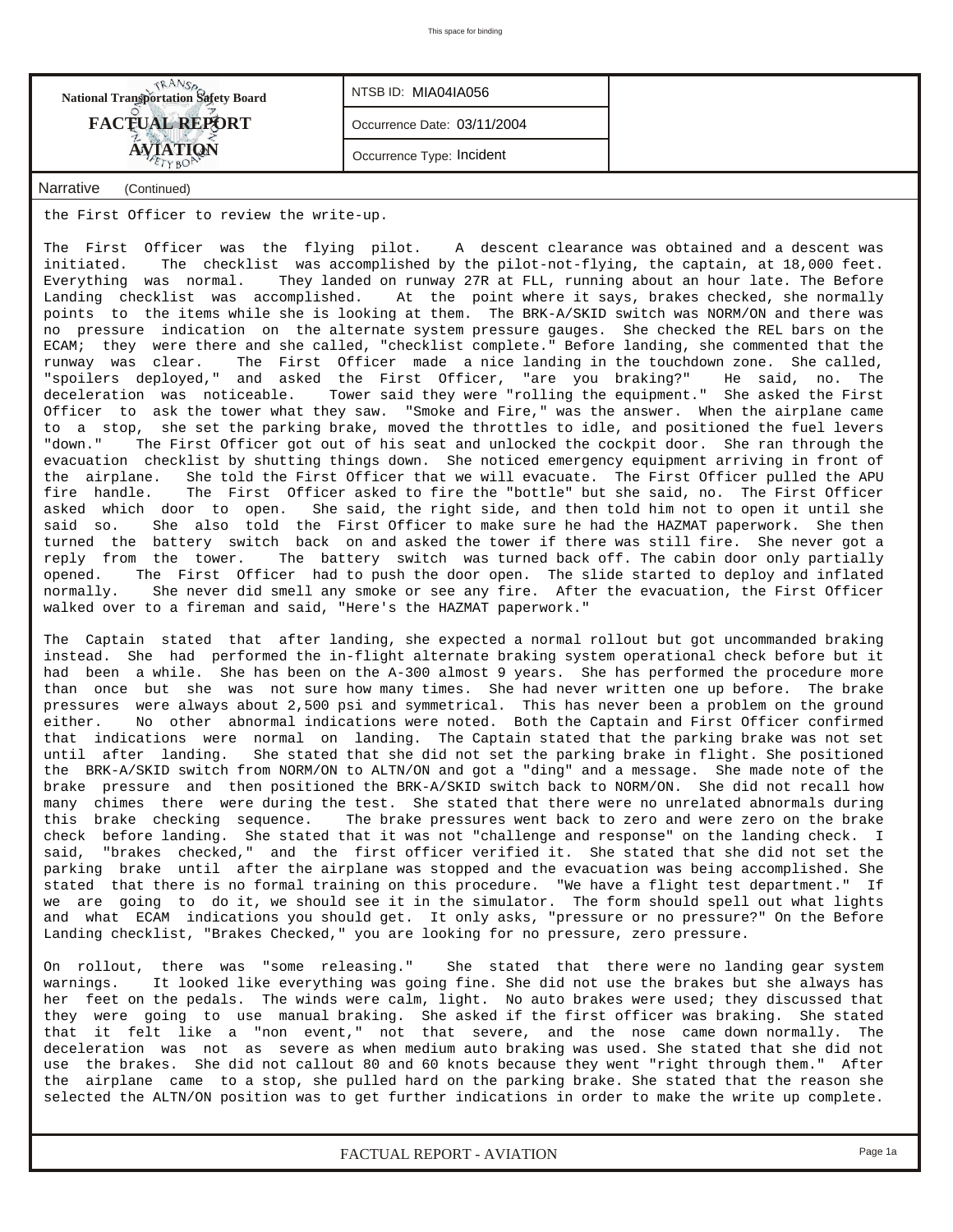| National Transportation Safety Board | NTSB ID: MIA04IA056       |
|--------------------------------------|---------------------------|
| <b>FACTUAL REPORT</b>                | Occurrence Date: 03/11/20 |
| <b><i><u>YTIQN</u></i></b>           | Occurrence Type: Incident |

*NTSB ID:* MIA04IA056 *Occurrence Date:* 03/11/2004

*Narrative (Continued)*

the First Officer to review the write-up.

The First Officer was the flying pilot. A descent clearance was obtained and a descent was initiated. The checklist was accomplished by the pilot-not-flying, the captain, at 18,000 feet. Everything was normal. They landed on runway 27R at FLL, running about an hour late. The Before Landing checklist was accomplished. At the point where it says, brakes checked, she normally points to the items while she is looking at them. The BRK-A/SKID switch was NORM/ON and there was no pressure indication on the alternate system pressure gauges. She checked the REL bars on the ECAM; they were there and she called, "checklist complete." Before landing, she commented that the runway was clear. The First Officer made a nice landing in the touchdown zone. She called, "spoilers deployed," and asked the First Officer, "are you braking?" He said, no. The deceleration was noticeable. Tower said they were "rolling the equipment." She asked the First Officer to ask the tower what they saw. "Smoke and Fire," was the answer. When the airplane came to a stop, she set the parking brake, moved the throttles to idle, and positioned the fuel levers "down." The First Officer got out of his seat and unlocked the cockpit door. She ran through the evacuation checklist by shutting things down. She noticed emergency equipment arriving in front of the airplane. She told the First Officer that we will evacuate. The First Officer pulled the APU<br>fire handle. The First Officer asked to fire the "bottle" but she said, no. The First Officer The First Officer asked to fire the "bottle" but she said, no. The First Officer asked which door to open. She said, the right side, and then told him not to open it until she said so. She also told the First Officer to make sure he had the HAZMAT paperwork. She then turned the battery switch back on and asked the tower if there was still fire. She never got a reply from the tower. The battery switch was turned back off. The cabin door only partially opened. The First Officer had to push the door open. The slide started to deploy and inflated normally. She never did smell any smoke or see any fire. After the evacuation, the First Officer walked over to a fireman and said, "Here's the HAZMAT paperwork."

The Captain stated that after landing, she expected a normal rollout but got uncommanded braking instead. She had performed the in-flight alternate braking system operational check before but it had been a while. She has been on the A-300 almost 9 years. She has performed the procedure more than once but she was not sure how many times. She had never written one up before. The brake pressures were always about 2,500 psi and symmetrical. This has never been a problem on the ground .<br>either. No other abnormal indications were noted. Both the Captain and First Officer confirmed that indications were normal on landing. The Captain stated that the parking brake was not set until after landing. She stated that she did not set the parking brake in flight. She positioned the BRK-A/SKID switch from NORM/ON to ALTN/ON and got a "ding" and a message. She made note of the brake pressure and then positioned the BRK-A/SKID switch back to NORM/ON. She did not recall how many chimes there were during the test. She stated that there were no unrelated abnormals during this brake checking sequence. The brake pressures went back to zero and were zero on the brake check before landing. She stated that it was not "challenge and response" on the landing check. I said, "brakes checked," and the first officer verified it. She stated that she did not set the parking brake until after the airplane was stopped and the evacuation was being accomplished. She stated that there is no formal training on this procedure. "We have a flight test department." If we are going to do it, we should see it in the simulator. The form should spell out what lights and what ECAM indications you should get. It only asks, "pressure or no pressure?" On the Before Landing checklist, "Brakes Checked," you are looking for no pressure, zero pressure.

On rollout, there was "some releasing." She stated that there were no landing gear system warnings. It looked like everything was going fine. She did not use the brakes but she always has her feet on the pedals. The winds were calm, light. No auto brakes were used; they discussed that they were going to use manual braking. She asked if the first officer was braking. She stated that it felt like a "non event," not that severe, and the nose came down normally. The deceleration was not as severe as when medium auto braking was used. She stated that she did not use the brakes. She did not callout 80 and 60 knots because they went "right through them." After the airplane came to a stop, she pulled hard on the parking brake. She stated that the reason she selected the ALTN/ON position was to get further indications in order to make the write up complete.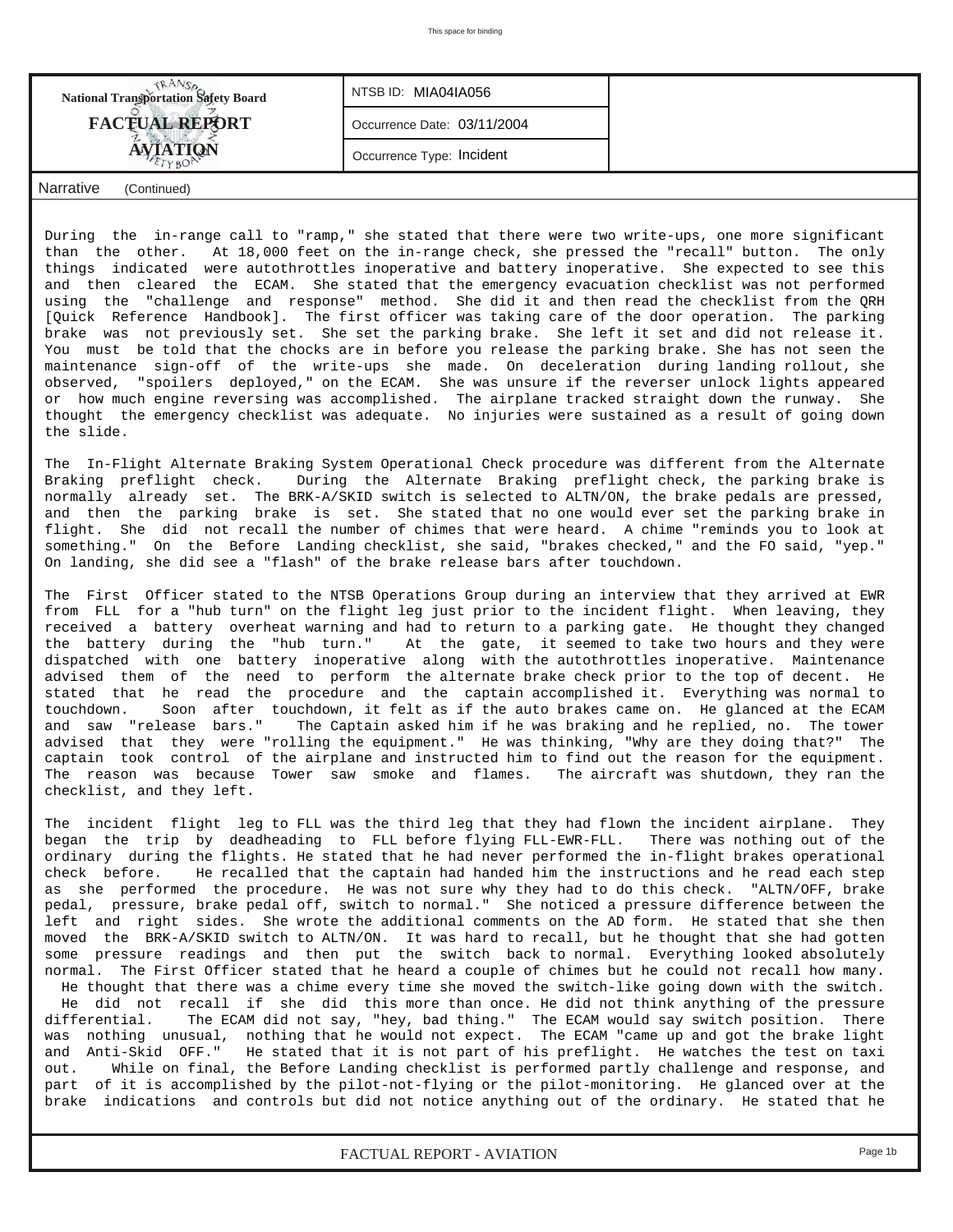| <b>National Transportation Safety Board</b> | NTSB ID: MIA04IA056         |  |
|---------------------------------------------|-----------------------------|--|
| <b>FACTUAL REPORT</b>                       | Occurrence Date: 03/11/2004 |  |
|                                             | Occurrence Type: Incident   |  |
| Narrative<br>(Continued)                    |                             |  |

During the in-range call to "ramp," she stated that there were two write-ups, one more significant than the other. At 18,000 feet on the in-range check, she pressed the "recall" button. The only things indicated were autothrottles inoperative and battery inoperative. She expected to see this and then cleared the ECAM. She stated that the emergency evacuation checklist was not performed using the "challenge and response" method. She did it and then read the checklist from the QRH [Quick Reference Handbook]. The first officer was taking care of the door operation. The parking brake was not previously set. She set the parking brake. She left it set and did not release it. You must be told that the chocks are in before you release the parking brake. She has not seen the maintenance sign-off of the write-ups she made. On deceleration during landing rollout, she observed, "spoilers deployed," on the ECAM. She was unsure if the reverser unlock lights appeared or how much engine reversing was accomplished. The airplane tracked straight down the runway. She thought the emergency checklist was adequate. No injuries were sustained as a result of going down the slide.

The In-Flight Alternate Braking System Operational Check procedure was different from the Alternate Braking preflight check. During the Alternate Braking preflight check, the parking brake is normally already set. The BRK-A/SKID switch is selected to ALTN/ON, the brake pedals are pressed, and then the parking brake is set. She stated that no one would ever set the parking brake in flight. She did not recall the number of chimes that were heard. A chime "reminds you to look at something." On the Before Landing checklist, she said, "brakes checked," and the FO said, "yep." On landing, she did see a "flash" of the brake release bars after touchdown.

The First Officer stated to the NTSB Operations Group during an interview that they arrived at EWR from FLL for a "hub turn" on the flight leg just prior to the incident flight. When leaving, they received a battery overheat warning and had to return to a parking gate. He thought they changed the battery during the "hub turn." At the gate, it seemed to take two hours and they were dispatched with one battery inoperative along with the autothrottles inoperative. Maintenance advised them of the need to perform the alternate brake check prior to the top of decent. He stated that he read the procedure and the captain accomplished it. Everything was normal to touchdown. Soon after touchdown, it felt as if the auto brakes came on. He glanced at the ECAM and saw "release bars." The Captain asked him if he was braking and he replied, no. The tower advised that they were "rolling the equipment." He was thinking, "Why are they doing that?" The captain took control of the airplane and instructed him to find out the reason for the equipment. The reason was because Tower saw smoke and flames. The aircraft was shutdown, they ran the checklist, and they left.

The incident flight leg to FLL was the third leg that they had flown the incident airplane. They began the trip by deadheading to FLL before flying FLL-EWR-FLL. There was nothing out of the ordinary during the flights. He stated that he had never performed the in-flight brakes operational check before. He recalled that the captain had handed him the instructions and he read each step as she performed the procedure. He was not sure why they had to do this check. "ALTN/OFF, brake pedal, pressure, brake pedal off, switch to normal." She noticed a pressure difference between the left and right sides. She wrote the additional comments on the AD form. He stated that she then moved the BRK-A/SKID switch to ALTN/ON. It was hard to recall, but he thought that she had gotten some pressure readings and then put the switch back to normal. Everything looked absolutely normal. The First Officer stated that he heard a couple of chimes but he could not recall how many. He thought that there was a chime every time she moved the switch-like going down with the switch. He did not recall if she did this more than once. He did not think anything of the pressure differential. The ECAM did not say, "hey, bad thing." The ECAM would say switch position. There was nothing unusual, nothing that he would not expect. The ECAM "came up and got the brake light and Anti-Skid OFF." He stated that it is not part of his preflight. He watches the test on taxi out. While on final, the Before Landing checklist is performed partly challenge and response, and part of it is accomplished by the pilot-not-flying or the pilot-monitoring. He glanced over at the brake indications and controls but did not notice anything out of the ordinary. He stated that he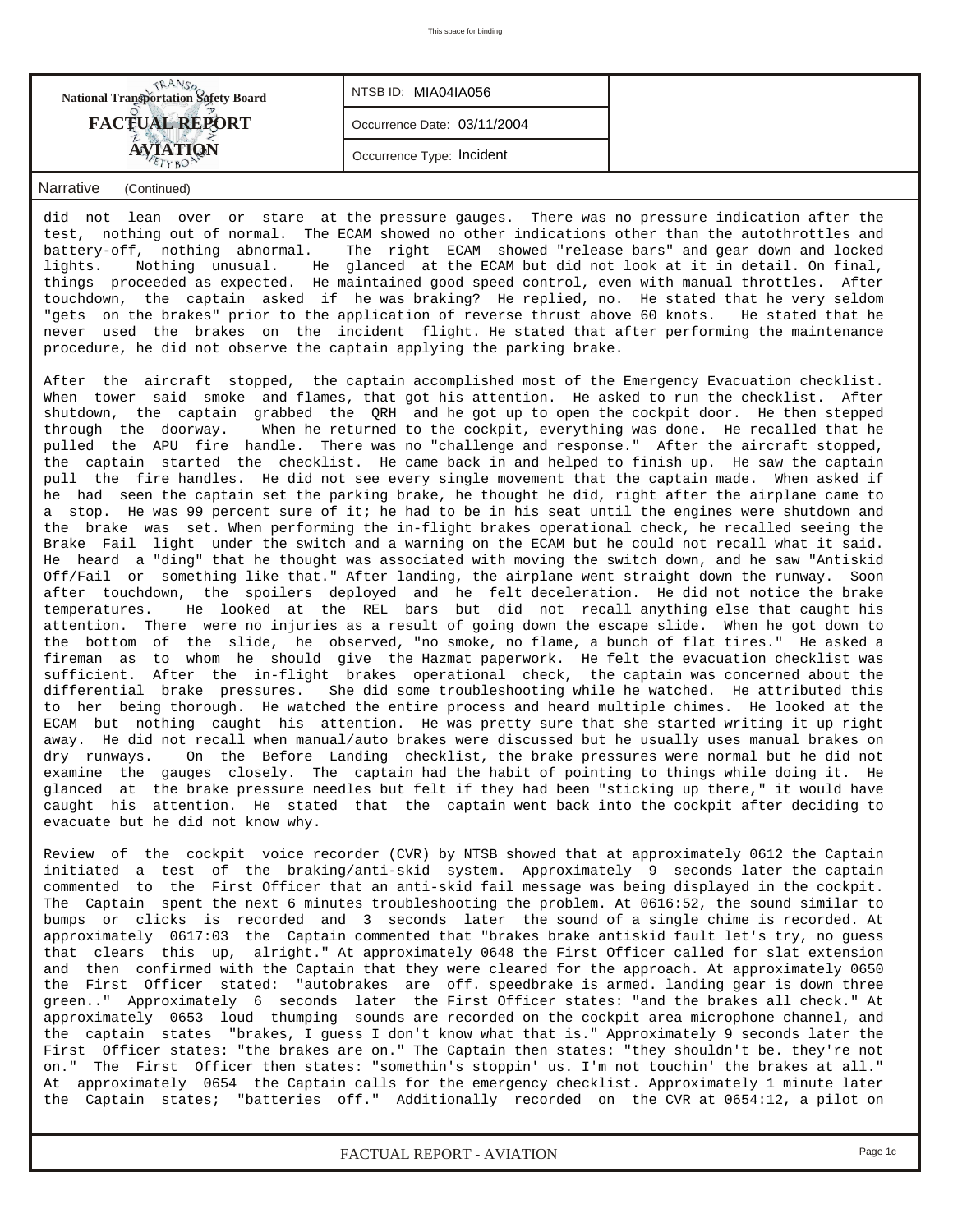| <b>National Transportation Safety Board</b> | NTSB ID: MIA04IA056         |  |
|---------------------------------------------|-----------------------------|--|
| <b>FACTUAL REPORT</b>                       | Occurrence Date: 03/11/2004 |  |
| <b>AVIATION</b>                             | Occurrence Type: Incident   |  |
| Narrative<br>(Continued)                    |                             |  |

did not lean over or stare at the pressure gauges. There was no pressure indication after the test, nothing out of normal. The ECAM showed no other indications other than the autothrottles and battery-off, nothing abnormal. The right ECAM showed "release bars" and gear down and locked lights. Nothing unusual. He glanced at the ECAM but did not look at it in detail. On final, things proceeded as expected. He maintained good speed control, even with manual throttles. After touchdown, the captain asked if he was braking? He replied, no. He stated that he very seldom "gets on the brakes" prior to the application of reverse thrust above 60 knots. He stated that he never used the brakes on the incident flight. He stated that after performing the maintenance procedure, he did not observe the captain applying the parking brake.

After the aircraft stopped, the captain accomplished most of the Emergency Evacuation checklist. When tower said smoke and flames, that got his attention. He asked to run the checklist. After shutdown, the captain grabbed the QRH and he got up to open the cockpit door. He then stepped through the doorway. When he returned to the cockpit, everything was done. He recalled that he pulled the APU fire handle. There was no "challenge and response." After the aircraft stopped, the captain started the checklist. He came back in and helped to finish up. He saw the captain pull the fire handles. He did not see every single movement that the captain made. When asked if he had seen the captain set the parking brake, he thought he did, right after the airplane came to a stop. He was 99 percent sure of it; he had to be in his seat until the engines were shutdown and the brake was set. When performing the in-flight brakes operational check, he recalled seeing the Brake Fail light under the switch and a warning on the ECAM but he could not recall what it said. He heard a "ding" that he thought was associated with moving the switch down, and he saw "Antiskid Off/Fail or something like that." After landing, the airplane went straight down the runway. Soon after touchdown, the spoilers deployed and he felt deceleration. He did not notice the brake temperatures. He looked at the REL bars but did not recall anything else that caught his attention. There were no injuries as a result of going down the escape slide. When he got down to the bottom of the slide, he observed, "no smoke, no flame, a bunch of flat tires." He asked a fireman as to whom he should give the Hazmat paperwork. He felt the evacuation checklist was sufficient. After the in-flight brakes operational check, the captain was concerned about the differential brake pressures. She did some troubleshooting while he watched. He attributed this to her being thorough. He watched the entire process and heard multiple chimes. He looked at the ECAM but nothing caught his attention. He was pretty sure that she started writing it up right away. He did not recall when manual/auto brakes were discussed but he usually uses manual brakes on dry runways. On the Before Landing checklist, the brake pressures were normal but he did not examine the gauges closely. The captain had the habit of pointing to things while doing it. He glanced at the brake pressure needles but felt if they had been "sticking up there," it would have caught his attention. He stated that the captain went back into the cockpit after deciding to evacuate but he did not know why.

Review of the cockpit voice recorder (CVR) by NTSB showed that at approximately 0612 the Captain initiated a test of the braking/anti-skid system. Approximately 9 seconds later the captain commented to the First Officer that an anti-skid fail message was being displayed in the cockpit. The Captain spent the next 6 minutes troubleshooting the problem. At 0616:52, the sound similar to bumps or clicks is recorded and 3 seconds later the sound of a single chime is recorded. At approximately 0617:03 the Captain commented that "brakes brake antiskid fault let's try, no guess that clears this up, alright." At approximately 0648 the First Officer called for slat extension and then confirmed with the Captain that they were cleared for the approach. At approximately 0650 the First Officer stated: "autobrakes are off. speedbrake is armed. landing gear is down three green.." Approximately 6 seconds later the First Officer states: "and the brakes all check." At approximately 0653 loud thumping sounds are recorded on the cockpit area microphone channel, and the captain states "brakes, I guess I don't know what that is." Approximately 9 seconds later the First Officer states: "the brakes are on." The Captain then states: "they shouldn't be. they're not on." The First Officer then states: "somethin's stoppin' us. I'm not touchin' the brakes at all." At approximately 0654 the Captain calls for the emergency checklist. Approximately 1 minute later the Captain states; "batteries off." Additionally recorded on the CVR at 0654:12, a pilot on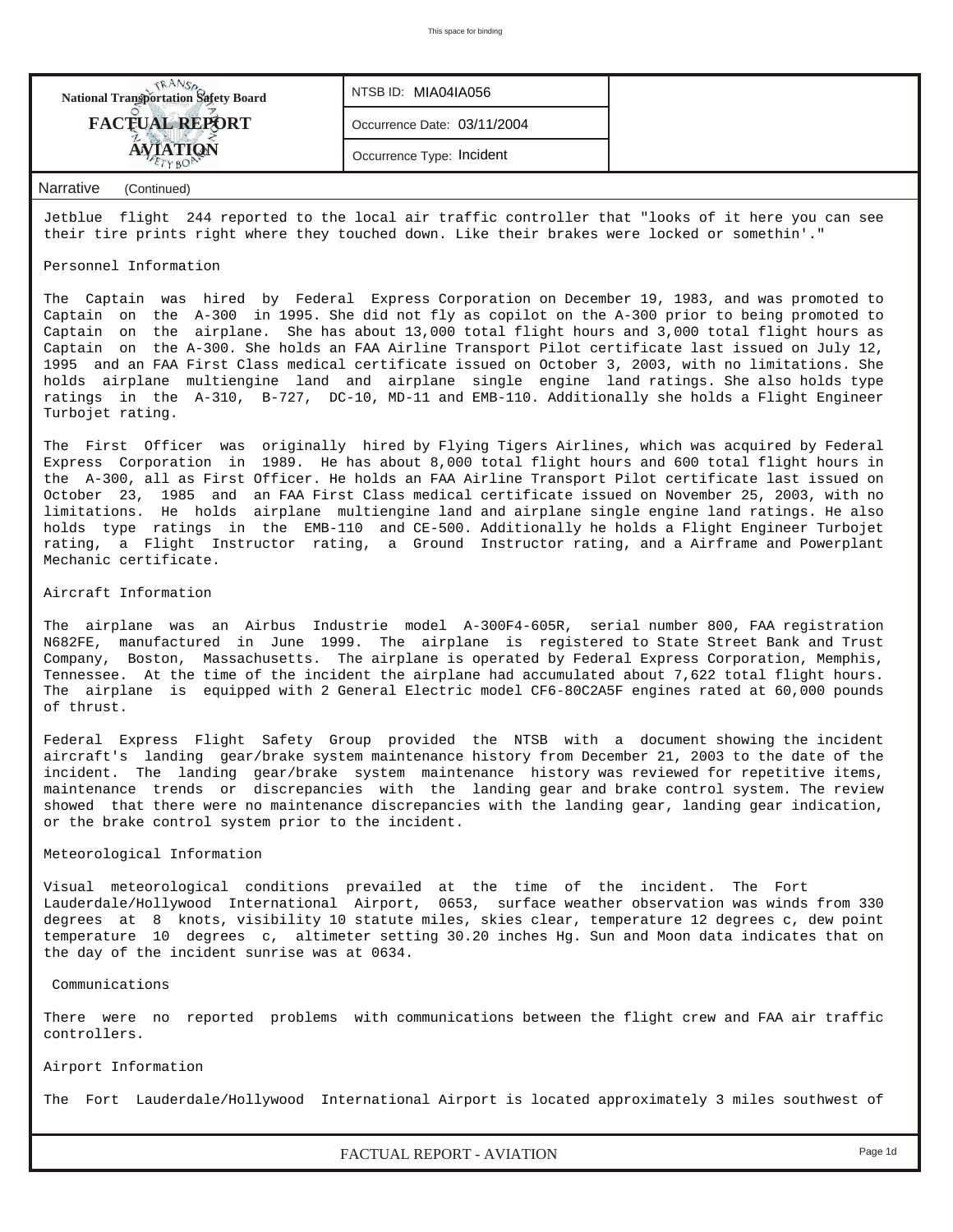| <b>National Transportation Safety Board</b> | NTSB ID: MIA04IA056         |  |
|---------------------------------------------|-----------------------------|--|
| <b>FACTUAL REPORT</b>                       | Occurrence Date: 03/11/2004 |  |
|                                             | Occurrence Type: Incident   |  |
|                                             |                             |  |

#### *Narrative (Continued)*

Jetblue flight 244 reported to the local air traffic controller that "looks of it here you can see their tire prints right where they touched down. Like their brakes were locked or somethin'."

#### Personnel Information

The Captain was hired by Federal Express Corporation on December 19, 1983, and was promoted to Captain on the A-300 in 1995. She did not fly as copilot on the A-300 prior to being promoted to Captain on the airplane. She has about 13,000 total flight hours and 3,000 total flight hours as Captain on the A-300. She holds an FAA Airline Transport Pilot certificate last issued on July 12, 1995 and an FAA First Class medical certificate issued on October 3, 2003, with no limitations. She holds airplane multiengine land and airplane single engine land ratings. She also holds type ratings in the A-310, B-727, DC-10, MD-11 and EMB-110. Additionally she holds a Flight Engineer Turbojet rating.

The First Officer was originally hired by Flying Tigers Airlines, which was acquired by Federal Express Corporation in 1989. He has about 8,000 total flight hours and 600 total flight hours in the A-300, all as First Officer. He holds an FAA Airline Transport Pilot certificate last issued on October 23, 1985 and an FAA First Class medical certificate issued on November 25, 2003, with no limitations. He holds airplane multiengine land and airplane single engine land ratings. He also holds type ratings in the EMB-110 and CE-500. Additionally he holds a Flight Engineer Turbojet rating, a Flight Instructor rating, a Ground Instructor rating, and a Airframe and Powerplant Mechanic certificate.

#### Aircraft Information

The airplane was an Airbus Industrie model A-300F4-605R, serial number 800, FAA registration N682FE, manufactured in June 1999. The airplane is registered to State Street Bank and Trust Company, Boston, Massachusetts. The airplane is operated by Federal Express Corporation, Memphis, Tennessee. At the time of the incident the airplane had accumulated about 7,622 total flight hours. The airplane is equipped with 2 General Electric model CF6-80C2A5F engines rated at 60,000 pounds of thrust.

Federal Express Flight Safety Group provided the NTSB with a document showing the incident aircraft's landing gear/brake system maintenance history from December 21, 2003 to the date of the incident. The landing gear/brake system maintenance history was reviewed for repetitive items, maintenance trends or discrepancies with the landing gear and brake control system. The review showed that there were no maintenance discrepancies with the landing gear, landing gear indication, or the brake control system prior to the incident.

#### Meteorological Information

Visual meteorological conditions prevailed at the time of the incident. The Fort Lauderdale/Hollywood International Airport, 0653, surface weather observation was winds from 330 degrees at 8 knots, visibility 10 statute miles, skies clear, temperature 12 degrees c, dew point temperature 10 degrees c, altimeter setting 30.20 inches Hg. Sun and Moon data indicates that on the day of the incident sunrise was at 0634.

#### Communications

There were no reported problems with communications between the flight crew and FAA air traffic controllers.

#### Airport Information

The Fort Lauderdale/Hollywood International Airport is located approximately 3 miles southwest of

*FACTUAL REPORT - AVIATION Page 1d*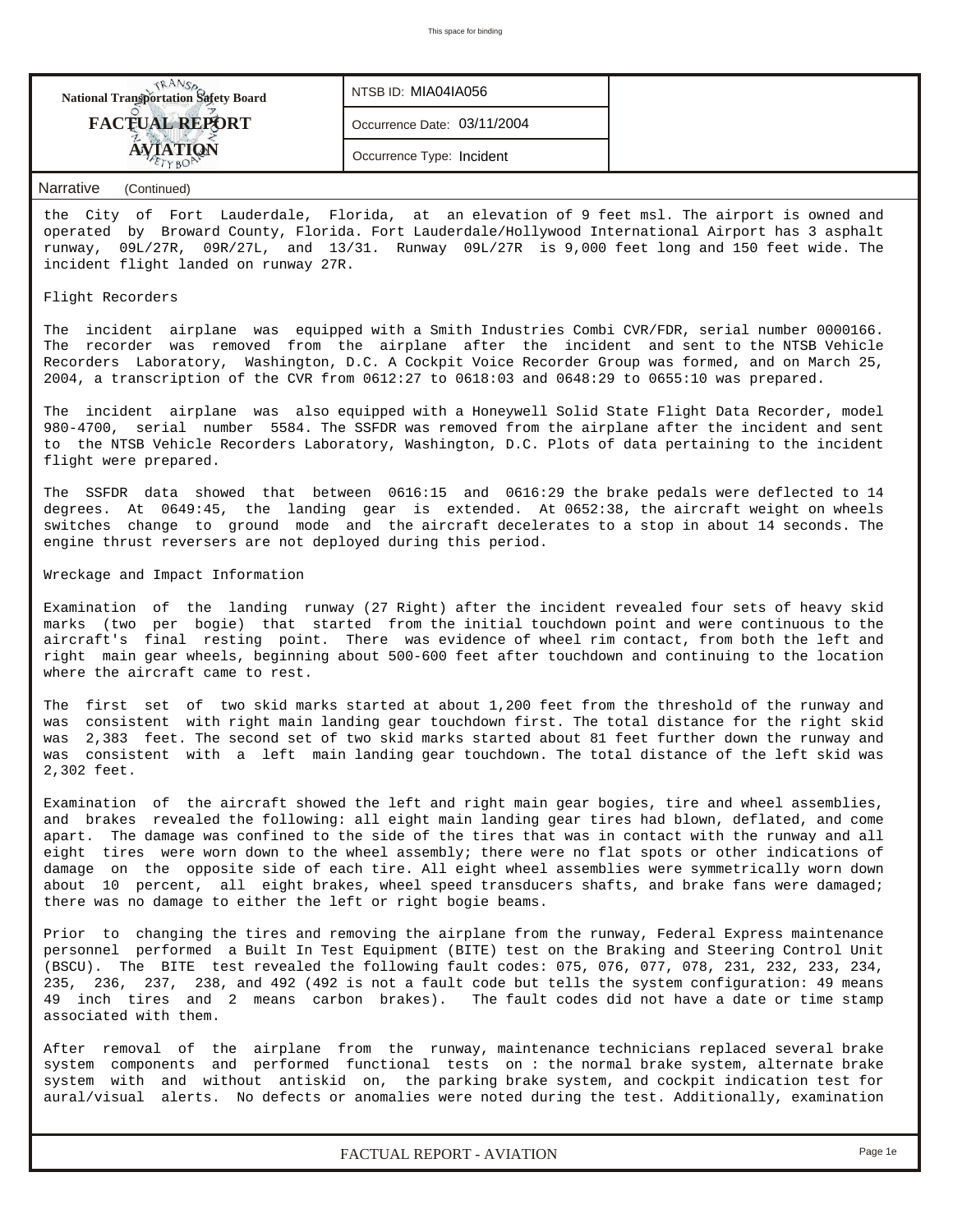

Wreckage and Impact Information

Examination of the landing runway (27 Right) after the incident revealed four sets of heavy skid marks (two per bogie) that started from the initial touchdown point and were continuous to the aircraft's final resting point. There was evidence of wheel rim contact, from both the left and right main gear wheels, beginning about 500-600 feet after touchdown and continuing to the location where the aircraft came to rest.

The first set of two skid marks started at about 1,200 feet from the threshold of the runway and was consistent with right main landing gear touchdown first. The total distance for the right skid was 2,383 feet. The second set of two skid marks started about 81 feet further down the runway and was consistent with a left main landing gear touchdown. The total distance of the left skid was 2,302 feet.

Examination of the aircraft showed the left and right main gear bogies, tire and wheel assemblies, and brakes revealed the following: all eight main landing gear tires had blown, deflated, and come apart. The damage was confined to the side of the tires that was in contact with the runway and all eight tires were worn down to the wheel assembly; there were no flat spots or other indications of damage on the opposite side of each tire. All eight wheel assemblies were symmetrically worn down about 10 percent, all eight brakes, wheel speed transducers shafts, and brake fans were damaged; there was no damage to either the left or right bogie beams.

Prior to changing the tires and removing the airplane from the runway, Federal Express maintenance personnel performed a Built In Test Equipment (BITE) test on the Braking and Steering Control Unit (BSCU). The BITE test revealed the following fault codes: 075, 076, 077, 078, 231, 232, 233, 234, 235, 236, 237, 238, and 492 (492 is not a fault code but tells the system configuration: 49 means 49 inch tires and 2 means carbon brakes). The fault codes did not have a date or time stamp associated with them.

After removal of the airplane from the runway, maintenance technicians replaced several brake system components and performed functional tests on : the normal brake system, alternate brake system with and without antiskid on, the parking brake system, and cockpit indication test for aural/visual alerts. No defects or anomalies were noted during the test. Additionally, examination

*FACTUAL REPORT - AVIATION Page 1e*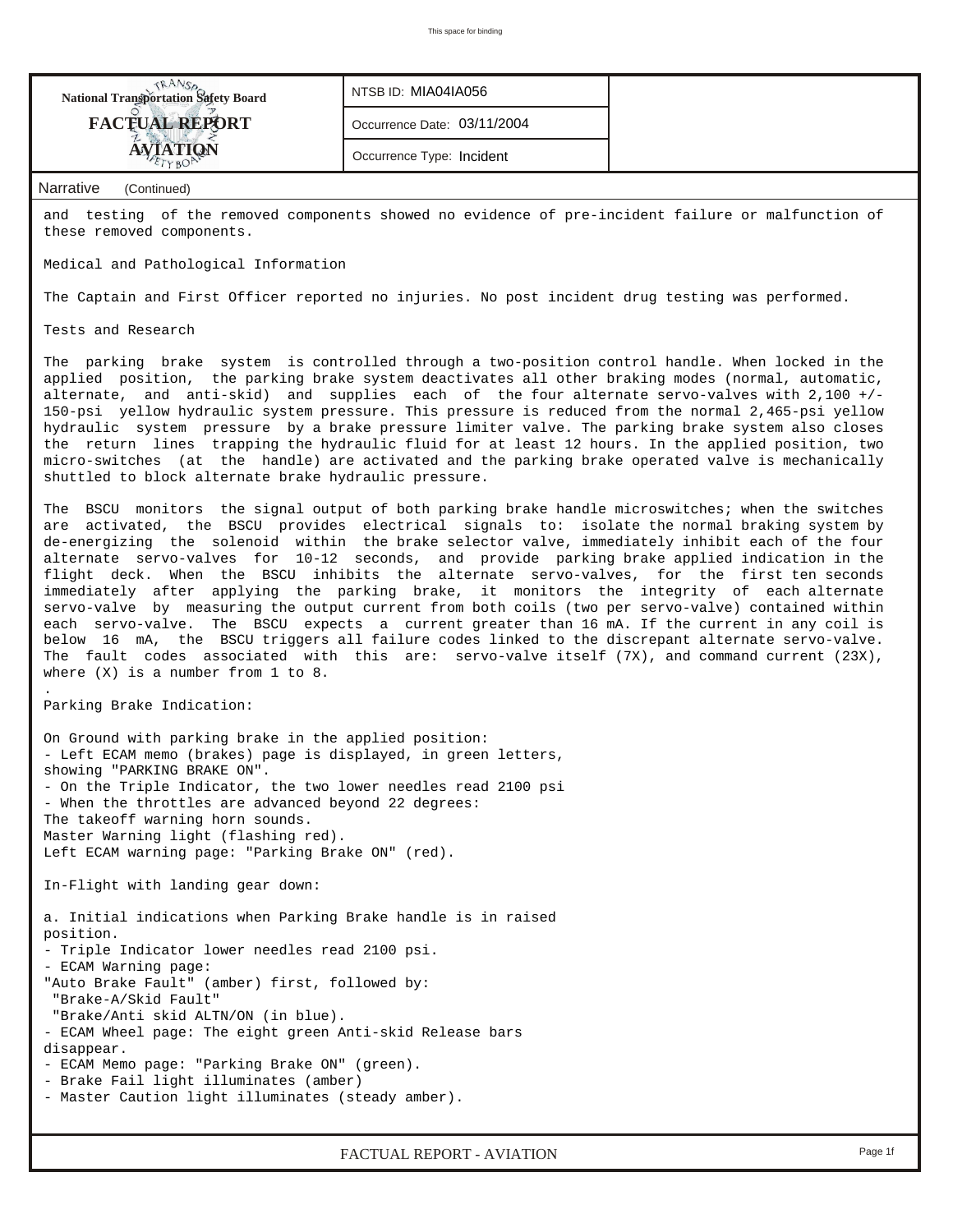| <b>National Transportation Safety Board</b> | NTSB ID: MIA04IA056         |                                                                                                |
|---------------------------------------------|-----------------------------|------------------------------------------------------------------------------------------------|
| <b>FACTUAL REPORT</b>                       | Occurrence Date: 03/11/2004 |                                                                                                |
| <b>AVIATION</b>                             | Occurrence Type: Incident   |                                                                                                |
| Narrative<br>(Continued)                    |                             |                                                                                                |
| and                                         |                             | testing of the removed components showed no evidence of pre-incident failure or malfunction of |

Medical and Pathological Information

The Captain and First Officer reported no injuries. No post incident drug testing was performed.

Tests and Research

these removed components.

The parking brake system is controlled through a two-position control handle. When locked in the applied position, the parking brake system deactivates all other braking modes (normal, automatic, alternate, and anti-skid) and supplies each of the four alternate servo-valves with 2,100 +/- 150-psi yellow hydraulic system pressure. This pressure is reduced from the normal 2,465-psi yellow hydraulic system pressure by a brake pressure limiter valve. The parking brake system also closes the return lines trapping the hydraulic fluid for at least 12 hours. In the applied position, two micro-switches (at the handle) are activated and the parking brake operated valve is mechanically shuttled to block alternate brake hydraulic pressure.

The BSCU monitors the signal output of both parking brake handle microswitches; when the switches are activated, the BSCU provides electrical signals to: isolate the normal braking system by de-energizing the solenoid within the brake selector valve, immediately inhibit each of the four alternate servo-valves for 10-12 seconds, and provide parking brake applied indication in the flight deck. When the BSCU inhibits the alternate servo-valves, for the first ten seconds immediately after applying the parking brake, it monitors the integrity of each alternate servo-valve by measuring the output current from both coils (two per servo-valve) contained within each servo-valve. The BSCU expects a current greater than 16 mA. If the current in any coil is below 16 mA, the BSCU triggers all failure codes linked to the discrepant alternate servo-valve. The fault codes associated with this are: servo-valve itself (7X), and command current (23X), where  $(X)$  is a number from 1 to 8.

Parking Brake Indication:

.

On Ground with parking brake in the applied position: - Left ECAM memo (brakes) page is displayed, in green letters, showing "PARKING BRAKE ON". - On the Triple Indicator, the two lower needles read 2100 psi - When the throttles are advanced beyond 22 degrees: The takeoff warning horn sounds. Master Warning light (flashing red). Left ECAM warning page: "Parking Brake ON" (red). In-Flight with landing gear down: a. Initial indications when Parking Brake handle is in raised position. - Triple Indicator lower needles read 2100 psi. - ECAM Warning page: "Auto Brake Fault" (amber) first, followed by: "Brake-A/Skid Fault" "Brake/Anti skid ALTN/ON (in blue). - ECAM Wheel page: The eight green Anti-skid Release bars disappear. - ECAM Memo page: "Parking Brake ON" (green).

- Brake Fail light illuminates (amber)

- Master Caution light illuminates (steady amber).

*FACTUAL REPORT - AVIATION Page 1f*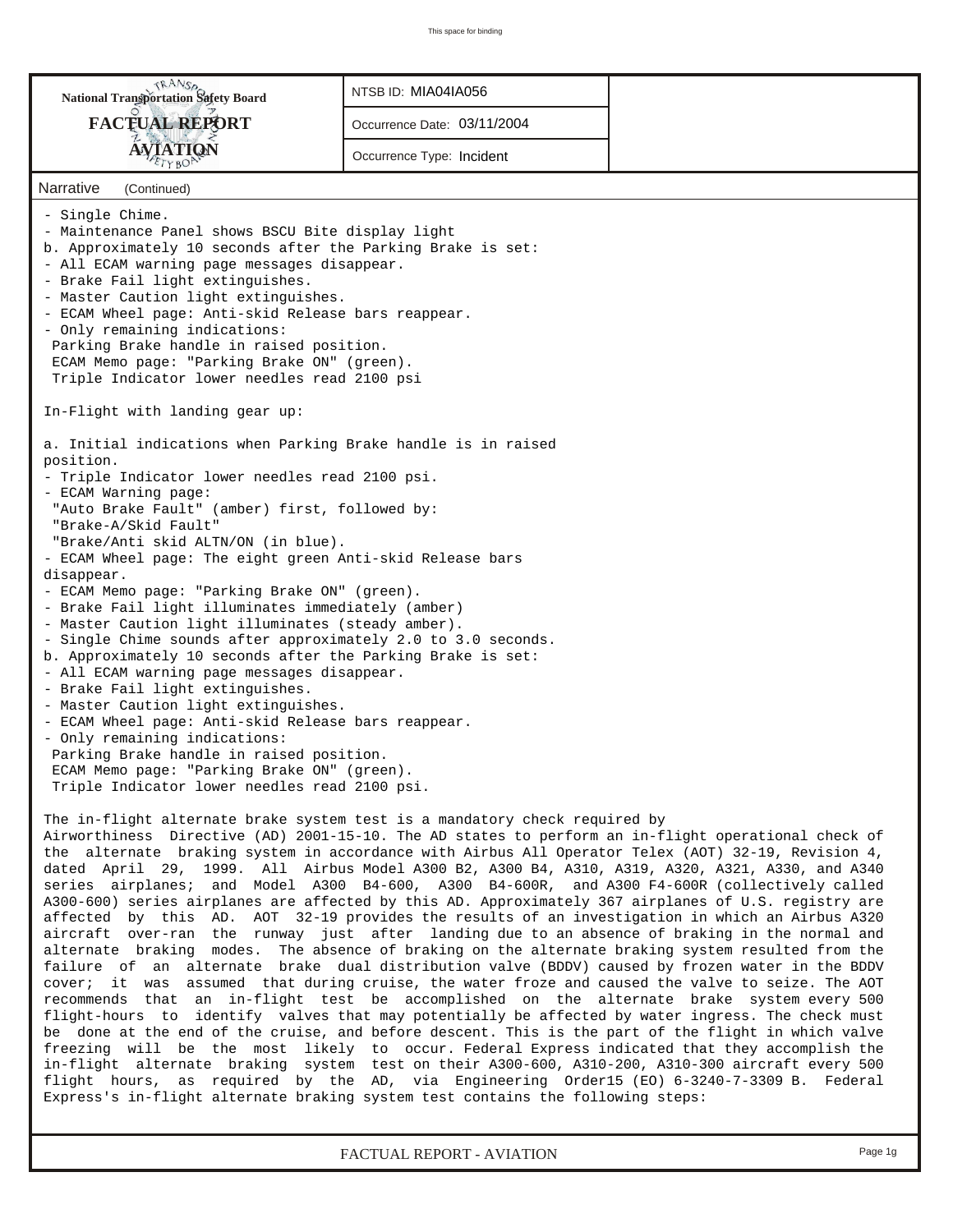| <b>National Transportation Safety Board</b>                                                                                                                                                                                                                                                                                                                                                                                                                                                                                                                                                                                                                                                                                                                                                                                                                                                                                                                                                                                                                                                                                                                                                                                                                                                                                                                                                                                                                                                                                                                                                                                                                                                                                                                                                                        | NTSB ID: MIA04IA056         |  |
|--------------------------------------------------------------------------------------------------------------------------------------------------------------------------------------------------------------------------------------------------------------------------------------------------------------------------------------------------------------------------------------------------------------------------------------------------------------------------------------------------------------------------------------------------------------------------------------------------------------------------------------------------------------------------------------------------------------------------------------------------------------------------------------------------------------------------------------------------------------------------------------------------------------------------------------------------------------------------------------------------------------------------------------------------------------------------------------------------------------------------------------------------------------------------------------------------------------------------------------------------------------------------------------------------------------------------------------------------------------------------------------------------------------------------------------------------------------------------------------------------------------------------------------------------------------------------------------------------------------------------------------------------------------------------------------------------------------------------------------------------------------------------------------------------------------------|-----------------------------|--|
| <b>FACTUAL REPORT</b>                                                                                                                                                                                                                                                                                                                                                                                                                                                                                                                                                                                                                                                                                                                                                                                                                                                                                                                                                                                                                                                                                                                                                                                                                                                                                                                                                                                                                                                                                                                                                                                                                                                                                                                                                                                              | Occurrence Date: 03/11/2004 |  |
| <b>AVIATION</b><br>TYBO                                                                                                                                                                                                                                                                                                                                                                                                                                                                                                                                                                                                                                                                                                                                                                                                                                                                                                                                                                                                                                                                                                                                                                                                                                                                                                                                                                                                                                                                                                                                                                                                                                                                                                                                                                                            | Occurrence Type: Incident   |  |
| Narrative<br>(Continued)                                                                                                                                                                                                                                                                                                                                                                                                                                                                                                                                                                                                                                                                                                                                                                                                                                                                                                                                                                                                                                                                                                                                                                                                                                                                                                                                                                                                                                                                                                                                                                                                                                                                                                                                                                                           |                             |  |
| - Single Chime.<br>- Maintenance Panel shows BSCU Bite display light<br>b. Approximately 10 seconds after the Parking Brake is set:<br>- All ECAM warning page messages disappear.<br>- Brake Fail light extinguishes.<br>- Master Caution light extinguishes.<br>- ECAM Wheel page: Anti-skid Release bars reappear.<br>- Only remaining indications:<br>Parking Brake handle in raised position.<br>ECAM Memo page: "Parking Brake ON" (green).<br>Triple Indicator lower needles read 2100 psi                                                                                                                                                                                                                                                                                                                                                                                                                                                                                                                                                                                                                                                                                                                                                                                                                                                                                                                                                                                                                                                                                                                                                                                                                                                                                                                  |                             |  |
| In-Flight with landing gear up:                                                                                                                                                                                                                                                                                                                                                                                                                                                                                                                                                                                                                                                                                                                                                                                                                                                                                                                                                                                                                                                                                                                                                                                                                                                                                                                                                                                                                                                                                                                                                                                                                                                                                                                                                                                    |                             |  |
| a. Initial indications when Parking Brake handle is in raised<br>position.<br>- Triple Indicator lower needles read 2100 psi.<br>- ECAM Warning page:<br>"Auto Brake Fault" (amber) first, followed by:<br>"Brake-A/Skid Fault"<br>"Brake/Anti skid ALTN/ON (in blue).<br>- ECAM Wheel page: The eight green Anti-skid Release bars<br>disappear.<br>- ECAM Memo page: "Parking Brake ON" (green).<br>- Brake Fail light illuminates immediately (amber)<br>- Master Caution light illuminates (steady amber).<br>- Single Chime sounds after approximately 2.0 to 3.0 seconds.<br>b. Approximately 10 seconds after the Parking Brake is set:<br>- All ECAM warning page messages disappear.<br>- Brake Fail light extinguishes.<br>- Master Caution light extinguishes.<br>- ECAM Wheel page: Anti-skid Release bars reappear.<br>- Only remaining indications:<br>Parking Brake handle in raised position.<br>ECAM Memo page: "Parking Brake ON" (green).<br>Triple Indicator lower needles read 2100 psi.                                                                                                                                                                                                                                                                                                                                                                                                                                                                                                                                                                                                                                                                                                                                                                                                      |                             |  |
| The in-flight alternate brake system test is a mandatory check required by<br>Airworthiness Directive (AD) 2001-15-10. The AD states to perform an in-flight operational check of<br>the alternate braking system in accordance with Airbus All Operator Telex (AOT) 32-19, Revision 4,<br>dated April 29, 1999. All Airbus Model A300 B2, A300 B4, A310, A319, A320, A321, A330, and A340<br>series airplanes; and Model A300 B4-600, A300 B4-600R, and A300 F4-600R (collectively called<br>A300-600) series airplanes are affected by this AD. Approximately 367 airplanes of U.S. registry are<br>affected by this AD. AOT 32-19 provides the results of an investigation in which an Airbus A320<br>aircraft over-ran the runway just after landing due to an absence of braking in the normal and<br>alternate braking modes. The absence of braking on the alternate braking system resulted from the<br>failure of an alternate brake dual distribution valve (BDDV) caused by frozen water in the BDDV<br>cover; it was assumed that during cruise, the water froze and caused the valve to seize. The AOT<br>recommends that an in-flight test be accomplished on the alternate brake system every 500<br>flight-hours to identify valves that may potentially be affected by water ingress. The check must<br>be done at the end of the cruise, and before descent. This is the part of the flight in which valve<br>freezing will be the most likely to occur. Federal Express indicated that they accomplish the<br>in-flight alternate braking system test on their A300-600, A310-200, A310-300 aircraft every 500<br>flight hours, as required by the AD, via Engineering Order15 (EO) 6-3240-7-3309 B. Federal<br>Express's in-flight alternate braking system test contains the following steps: |                             |  |

*FACTUAL REPORT - AVIATION Page 1g*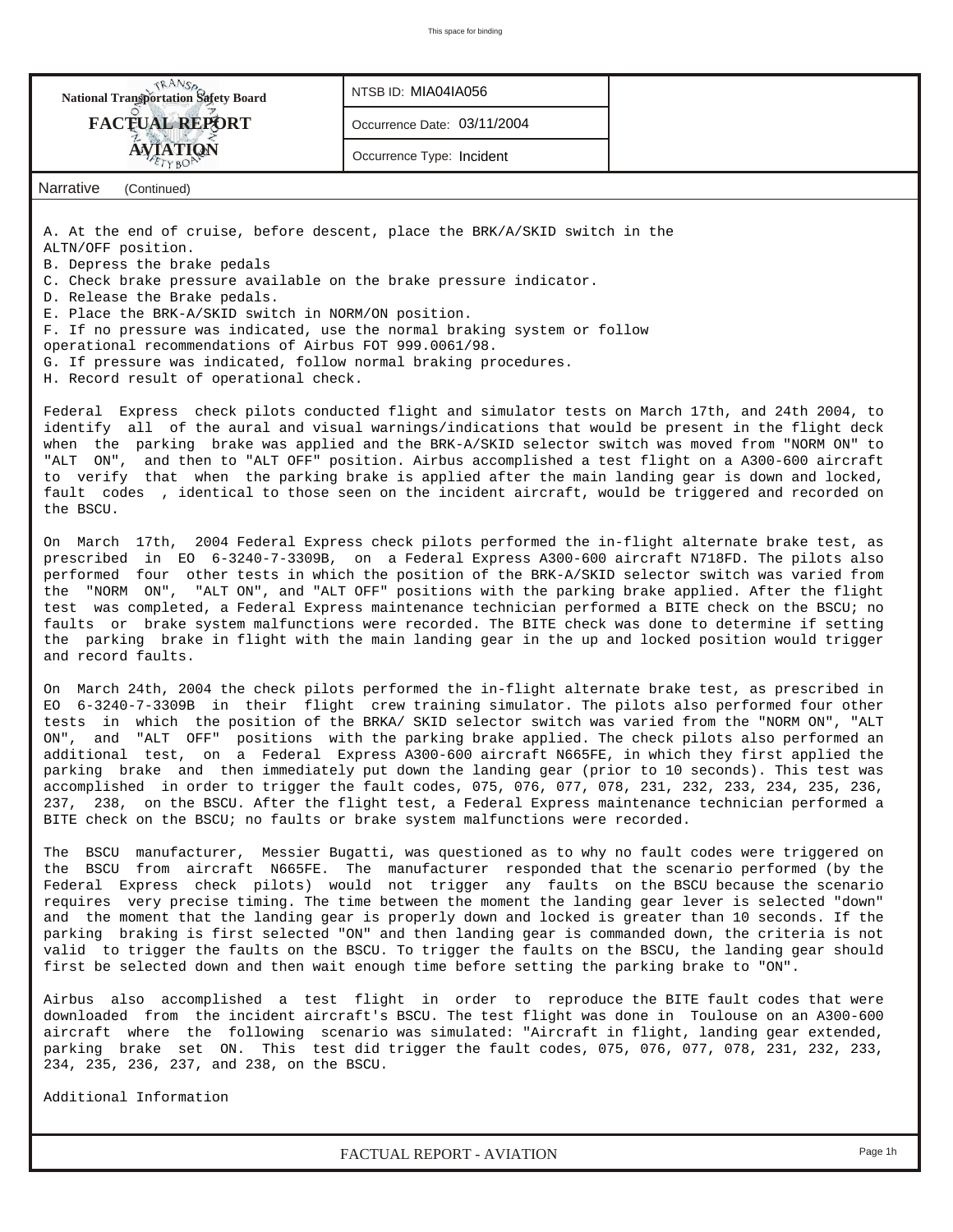| <b>National Transportation Safety Board</b>                                                                                                                                                                                                                                                                                                                                                                                                                                                                                                                                                                                                                                                                                                                                                                                 | NTSB ID: MIA04IA056         |                                                                                            |
|-----------------------------------------------------------------------------------------------------------------------------------------------------------------------------------------------------------------------------------------------------------------------------------------------------------------------------------------------------------------------------------------------------------------------------------------------------------------------------------------------------------------------------------------------------------------------------------------------------------------------------------------------------------------------------------------------------------------------------------------------------------------------------------------------------------------------------|-----------------------------|--------------------------------------------------------------------------------------------|
|                                                                                                                                                                                                                                                                                                                                                                                                                                                                                                                                                                                                                                                                                                                                                                                                                             |                             |                                                                                            |
| <b>FACTUAL REPORT</b>                                                                                                                                                                                                                                                                                                                                                                                                                                                                                                                                                                                                                                                                                                                                                                                                       | Occurrence Date: 03/11/2004 |                                                                                            |
| <b>AVIATION</b><br>TYBO                                                                                                                                                                                                                                                                                                                                                                                                                                                                                                                                                                                                                                                                                                                                                                                                     | Occurrence Type: Incident   |                                                                                            |
| Narrative<br>(Continued)                                                                                                                                                                                                                                                                                                                                                                                                                                                                                                                                                                                                                                                                                                                                                                                                    |                             |                                                                                            |
| A. At the end of cruise, before descent, place the BRK/A/SKID switch in the<br>ALTN/OFF position.<br>B. Depress the brake pedals<br>C. Check brake pressure available on the brake pressure indicator.<br>D. Release the Brake pedals.<br>E. Place the BRK-A/SKID switch in NORM/ON position.<br>F. If no pressure was indicated, use the normal braking system or follow<br>operational recommendations of Airbus FOT 999.0061/98.<br>G. If pressure was indicated, follow normal braking procedures.<br>H. Record result of operational check.                                                                                                                                                                                                                                                                            |                             |                                                                                            |
| Federal Express check pilots conducted flight and simulator tests on March 17th, and 24th 2004, to<br>identify all of the aural and visual warnings/indications that would be present in the flight deck<br>when the parking brake was applied and the BRK-A/SKID selector switch was moved from "NORM ON" to<br>"ALT ON", and then to "ALT OFF" position. Airbus accomplished a test flight on a A300-600 aircraft<br>to verify that when the parking brake is applied after the main landing gear is down and locked,<br>fault codes , identical to those seen on the incident aircraft, would be triggered and recorded on<br>the BSCU.                                                                                                                                                                                  |                             |                                                                                            |
| On March 17th, 2004 Federal Express check pilots performed the in-flight alternate brake test, as<br>prescribed in EO 6-3240-7-3309B, on a Federal Express A300-600 aircraft N718FD. The pilots also<br>performed four other tests in which the position of the BRK-A/SKID selector switch was varied from<br>the "NORM ON", "ALT ON", and "ALT OFF" positions with the parking brake applied. After the flight<br>test was completed, a Federal Express maintenance technician performed a BITE check on the BSCU; no<br>faults or brake system malfunctions were recorded. The BITE check was done to determine if setting<br>the parking brake in flight with the main landing gear in the up and locked position would trigger<br>and record faults.                                                                    |                             |                                                                                            |
| On March 24th, 2004 the check pilots performed the in-flight alternate brake test, as prescribed in<br>EO 6-3240-7-3309B in their flight crew training simulator. The pilots also performed four other<br>tests in which the position of the BRKA/ SKID selector switch was varied from the "NORM ON", "ALT<br>ON",<br>additional test, on a Federal Express A300-600 aircraft N665FE, in which they first applied the<br>parking brake and then immediately put down the landing gear (prior to 10 seconds). This test was<br>accomplished in order to trigger the fault codes, 075, 076, 077, 078, 231, 232, 233, 234, 235, 236,<br>237, 238, on the BSCU. After the flight test, a Federal Express maintenance technician performed a<br>BITE check on the BSCU; no faults or brake system malfunctions were recorded.   |                             | and "ALT OFF" positions with the parking brake applied. The check pilots also performed an |
| The BSCU manufacturer, Messier Bugatti, was questioned as to why no fault codes were triggered on<br>the BSCU from aircraft N665FE. The manufacturer responded that the scenario performed (by the<br>Federal Express check pilots) would not trigger any faults on the BSCU because the scenario<br>requires very precise timing. The time between the moment the landing gear lever is selected "down"<br>and the moment that the landing gear is properly down and locked is greater than 10 seconds. If the<br>parking braking is first selected "ON" and then landing gear is commanded down, the criteria is not<br>valid to trigger the faults on the BSCU. To trigger the faults on the BSCU, the landing gear should<br>first be selected down and then wait enough time before setting the parking brake to "ON". |                             |                                                                                            |
| Airbus also accomplished a test flight in order to reproduce the BITE fault codes that were<br>downloaded from the incident aircraft's BSCU. The test flight was done in Toulouse on an A300-600<br>aircraft where the following scenario was simulated: "Aircraft in flight, landing gear extended,<br>parking brake set ON. This test did trigger the fault codes, 075, 076, 077, 078, 231, 232, 233,<br>234, 235, 236, 237, and 238, on the BSCU.                                                                                                                                                                                                                                                                                                                                                                        |                             |                                                                                            |
| Additional Information                                                                                                                                                                                                                                                                                                                                                                                                                                                                                                                                                                                                                                                                                                                                                                                                      |                             |                                                                                            |

*FACTUAL REPORT - AVIATION Page 1h*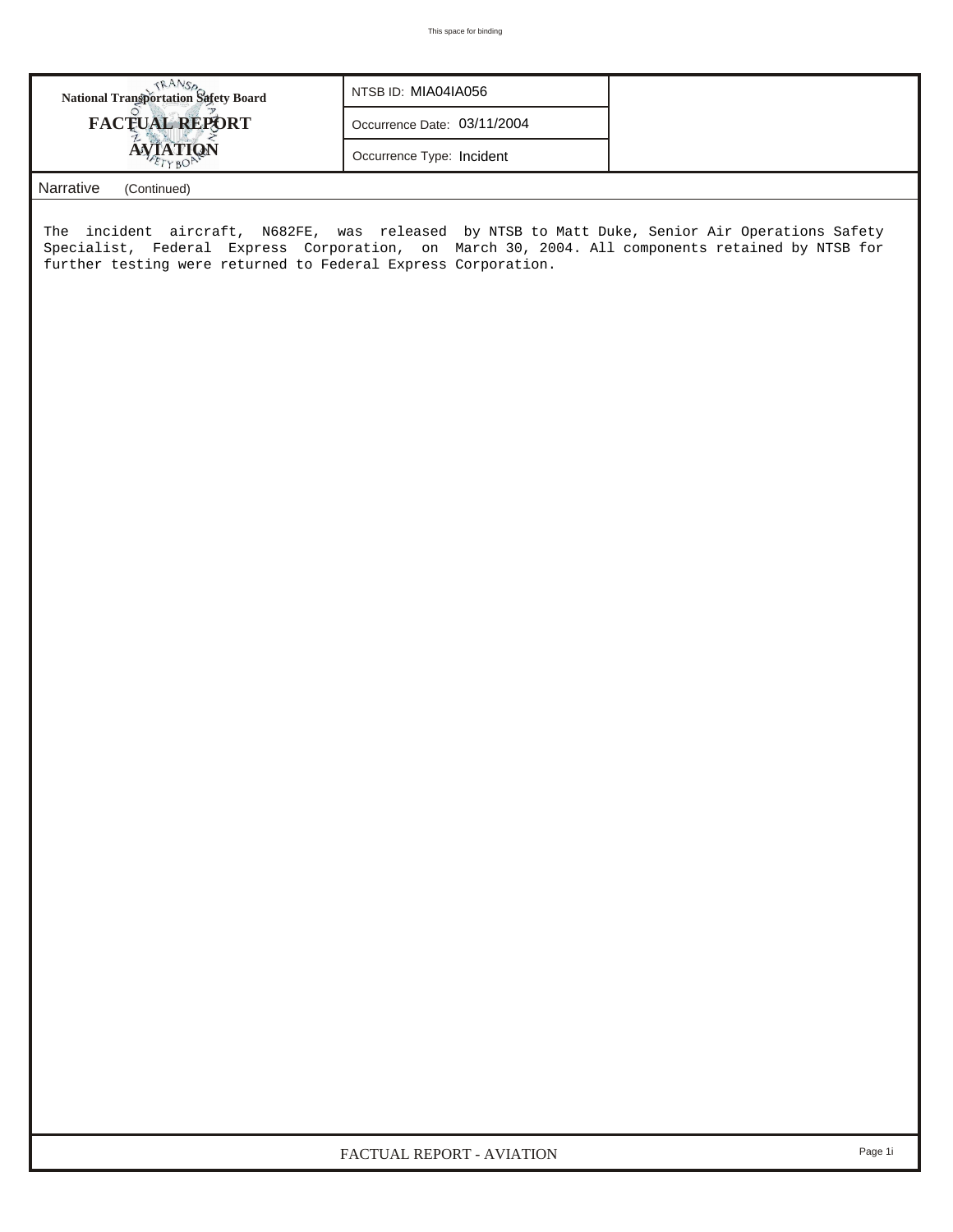| <b>National Transportation Safety Board</b> | NTSB ID: MIA04IA056         |
|---------------------------------------------|-----------------------------|
| <b>FACTUAL REPORT</b>                       | Occurrence Date: 03/11/2004 |
| <b>AVIATION</b>                             | Occurrence Type: Incident   |
| Narrative<br>(Continued)                    |                             |

The incident aircraft, N682FE, was released by NTSB to Matt Duke, Senior Air Operations Safety Specialist, Federal Express Corporation, on March 30, 2004. All components retained by NTSB for further testing were returned to Federal Express Corporation.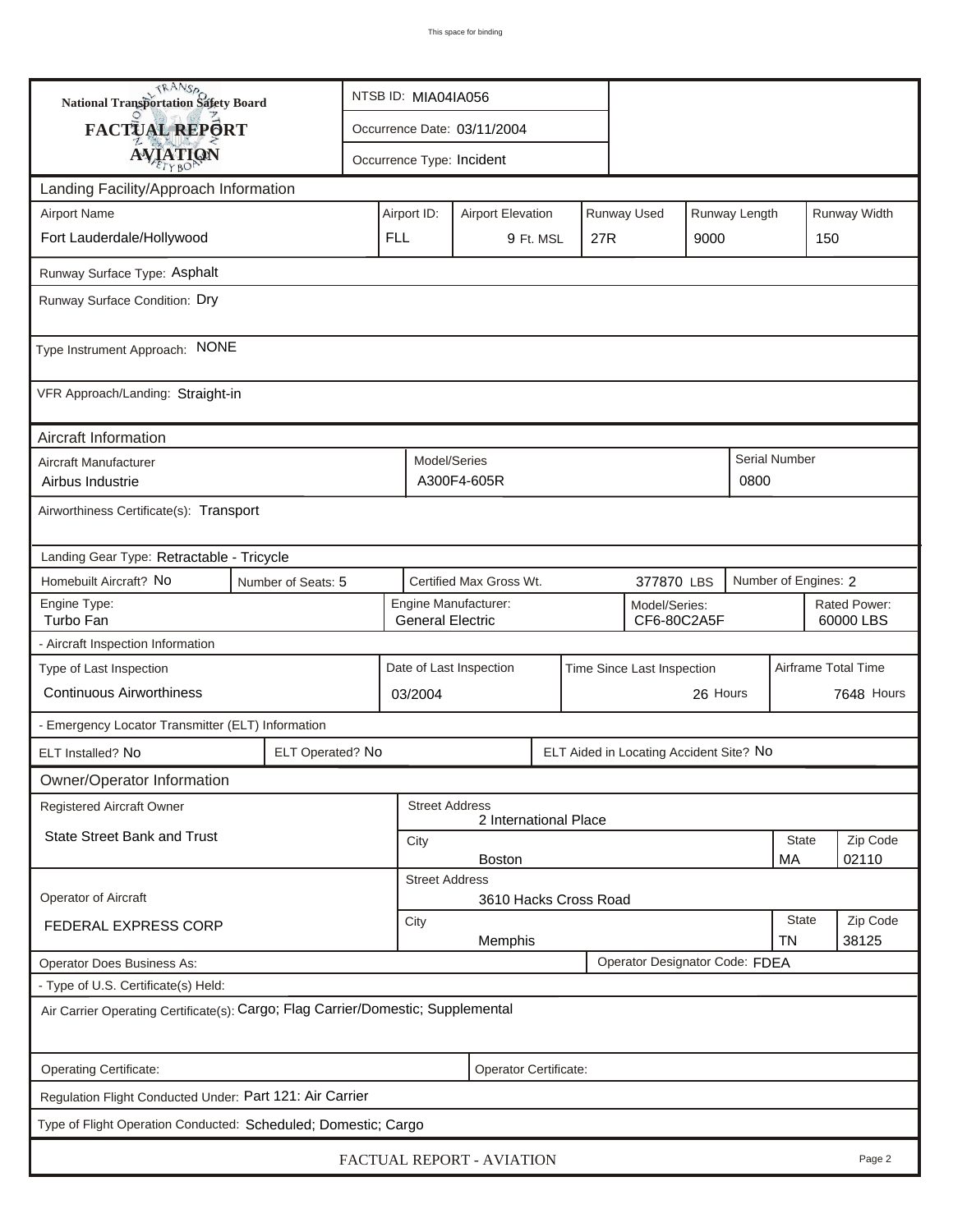| <b>National Transportation Safety Board</b>                                      |                    | NTSB ID: MIA04IA056                                                     |  |                                                 |           |     |                                         |                      |                      |  |                           |
|----------------------------------------------------------------------------------|--------------------|-------------------------------------------------------------------------|--|-------------------------------------------------|-----------|-----|-----------------------------------------|----------------------|----------------------|--|---------------------------|
| <b>FACTUAL REPORT</b>                                                            |                    | Occurrence Date: 03/11/2004                                             |  |                                                 |           |     |                                         |                      |                      |  |                           |
| <b>AVIATION</b>                                                                  |                    | Occurrence Type: Incident                                               |  |                                                 |           |     |                                         |                      |                      |  |                           |
| Landing Facility/Approach Information                                            |                    |                                                                         |  |                                                 |           |     |                                         |                      |                      |  |                           |
| <b>Airport Name</b>                                                              |                    | Airport ID:<br>Runway Used<br>Runway Length<br><b>Airport Elevation</b> |  |                                                 |           |     |                                         |                      |                      |  | Runway Width              |
| Fort Lauderdale/Hollywood                                                        |                    | <b>FLL</b>                                                              |  |                                                 | 9 Ft. MSL | 27R |                                         | 9000                 |                      |  | 150                       |
| Runway Surface Type: Asphalt                                                     |                    |                                                                         |  |                                                 |           |     |                                         |                      |                      |  |                           |
| Runway Surface Condition: Dry                                                    |                    |                                                                         |  |                                                 |           |     |                                         |                      |                      |  |                           |
| Type Instrument Approach: NONE                                                   |                    |                                                                         |  |                                                 |           |     |                                         |                      |                      |  |                           |
| VFR Approach/Landing: Straight-in                                                |                    |                                                                         |  |                                                 |           |     |                                         |                      |                      |  |                           |
| Aircraft Information                                                             |                    |                                                                         |  |                                                 |           |     |                                         |                      |                      |  |                           |
| Aircraft Manufacturer<br>Airbus Industrie                                        |                    | Model/Series<br>A300F4-605R                                             |  |                                                 |           |     |                                         | 0800                 | <b>Serial Number</b> |  |                           |
| Airworthiness Certificate(s): Transport                                          |                    |                                                                         |  |                                                 |           |     |                                         |                      |                      |  |                           |
| Landing Gear Type: Retractable - Tricycle                                        |                    |                                                                         |  |                                                 |           |     |                                         |                      |                      |  |                           |
| Homebuilt Aircraft? No                                                           | Number of Seats: 5 | Certified Max Gross Wt.<br>377870 LBS                                   |  |                                                 |           |     |                                         | Number of Engines: 2 |                      |  |                           |
| Engine Type:<br>Turbo Fan                                                        |                    |                                                                         |  | Engine Manufacturer:<br><b>General Electric</b> |           |     | Model/Series:<br>CF6-80C2A5F            |                      |                      |  | Rated Power:<br>60000 LBS |
| - Aircraft Inspection Information                                                |                    |                                                                         |  |                                                 |           |     |                                         |                      |                      |  |                           |
| Type of Last Inspection                                                          |                    |                                                                         |  | Date of Last Inspection                         |           |     | Time Since Last Inspection              |                      |                      |  | Airframe Total Time       |
| <b>Continuous Airworthiness</b>                                                  |                    | 03/2004                                                                 |  |                                                 |           |     |                                         | 26 Hours             |                      |  | 7648 Hours                |
| - Emergency Locator Transmitter (ELT) Information                                |                    |                                                                         |  |                                                 |           |     |                                         |                      |                      |  |                           |
| ELT Installed? No                                                                | ELT Operated? No   |                                                                         |  |                                                 |           |     | ELT Aided in Locating Accident Site? No |                      |                      |  |                           |
| Owner/Operator Information                                                       |                    |                                                                         |  |                                                 |           |     |                                         |                      |                      |  |                           |
| Registered Aircraft Owner                                                        |                    |                                                                         |  | <b>Street Address</b><br>2 International Place  |           |     |                                         |                      |                      |  |                           |
| <b>State Street Bank and Trust</b>                                               |                    | City                                                                    |  |                                                 |           |     |                                         | <b>State</b>         | Zip Code             |  |                           |
|                                                                                  |                    | 02110<br><b>Boston</b><br>МA<br><b>Street Address</b>                   |  |                                                 |           |     |                                         |                      |                      |  |                           |
| <b>Operator of Aircraft</b>                                                      |                    |                                                                         |  | 3610 Hacks Cross Road                           |           |     |                                         |                      |                      |  |                           |
| FEDERAL EXPRESS CORP                                                             |                    | City<br>Memphis                                                         |  |                                                 |           |     |                                         | <b>State</b><br>TN   | Zip Code<br>38125    |  |                           |
| Operator Does Business As:                                                       |                    |                                                                         |  |                                                 |           |     | Operator Designator Code: FDEA          |                      |                      |  |                           |
| - Type of U.S. Certificate(s) Held:                                              |                    |                                                                         |  |                                                 |           |     |                                         |                      |                      |  |                           |
| Air Carrier Operating Certificate(s): Cargo; Flag Carrier/Domestic; Supplemental |                    |                                                                         |  |                                                 |           |     |                                         |                      |                      |  |                           |
| Operating Certificate:                                                           |                    |                                                                         |  | Operator Certificate:                           |           |     |                                         |                      |                      |  |                           |
| Regulation Flight Conducted Under: Part 121: Air Carrier                         |                    |                                                                         |  |                                                 |           |     |                                         |                      |                      |  |                           |
| Type of Flight Operation Conducted: Scheduled; Domestic; Cargo                   |                    |                                                                         |  |                                                 |           |     |                                         |                      |                      |  |                           |
|                                                                                  |                    |                                                                         |  | FACTUAL REPORT - AVIATION                       |           |     |                                         |                      |                      |  | Page 2                    |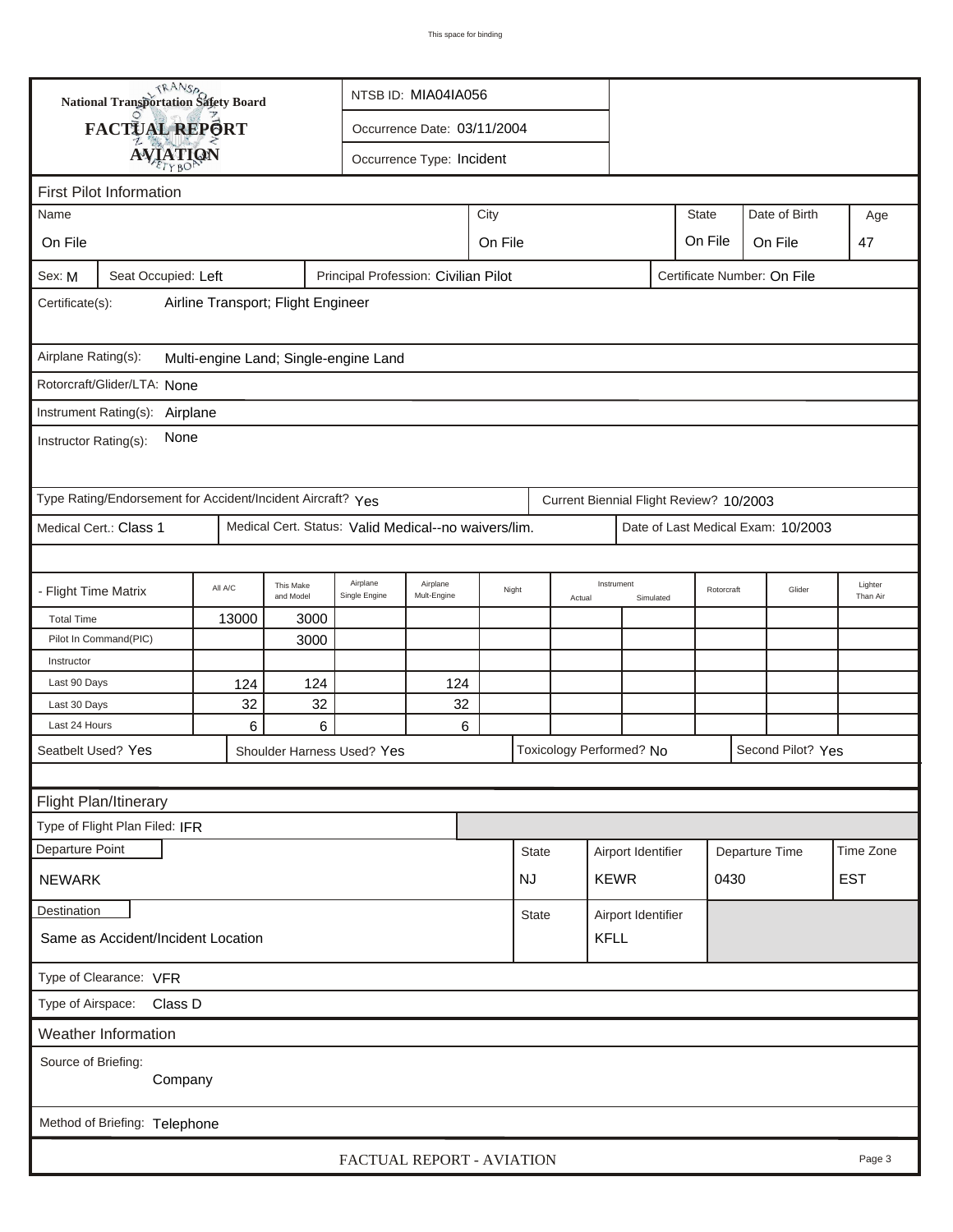|                               | <b>National Transportation Safety Board</b>                 |                                    |                        |                                                                             | NTSB ID: MIA04IA056         |         |                 |  |                    |           |                                         |                      |                                    |                     |
|-------------------------------|-------------------------------------------------------------|------------------------------------|------------------------|-----------------------------------------------------------------------------|-----------------------------|---------|-----------------|--|--------------------|-----------|-----------------------------------------|----------------------|------------------------------------|---------------------|
|                               | FACTUAL REPORT                                              |                                    |                        |                                                                             | Occurrence Date: 03/11/2004 |         |                 |  |                    |           |                                         |                      |                                    |                     |
|                               | <b>AVIATION</b>                                             |                                    |                        |                                                                             | Occurrence Type: Incident   |         |                 |  |                    |           |                                         |                      |                                    |                     |
|                               |                                                             |                                    |                        |                                                                             |                             |         |                 |  |                    |           |                                         |                      |                                    |                     |
| Name                          | <b>First Pilot Information</b>                              |                                    |                        |                                                                             |                             | City    |                 |  |                    |           | <b>State</b>                            |                      | Date of Birth                      |                     |
|                               |                                                             |                                    |                        |                                                                             |                             |         |                 |  |                    |           |                                         |                      |                                    | Age                 |
| On File                       |                                                             |                                    |                        |                                                                             |                             | On File |                 |  |                    |           | On File                                 |                      | On File                            | 47                  |
| Sex: M                        | Seat Occupied: Left                                         |                                    |                        | Principal Profession: Civilian Pilot                                        |                             |         |                 |  |                    |           | Certificate Number: On File             |                      |                                    |                     |
| Certificate(s):               |                                                             | Airline Transport; Flight Engineer |                        |                                                                             |                             |         |                 |  |                    |           |                                         |                      |                                    |                     |
| Airplane Rating(s):           |                                                             |                                    |                        | Multi-engine Land; Single-engine Land                                       |                             |         |                 |  |                    |           |                                         |                      |                                    |                     |
|                               | Rotorcraft/Glider/LTA: None                                 |                                    |                        |                                                                             |                             |         |                 |  |                    |           |                                         |                      |                                    |                     |
|                               | Instrument Rating(s):<br>Airplane                           |                                    |                        |                                                                             |                             |         |                 |  |                    |           |                                         |                      |                                    |                     |
| Instructor Rating(s):         | None                                                        |                                    |                        |                                                                             |                             |         |                 |  |                    |           |                                         |                      |                                    |                     |
|                               | Type Rating/Endorsement for Accident/Incident Aircraft? Yes |                                    |                        |                                                                             |                             |         |                 |  |                    |           | Current Biennial Flight Review? 10/2003 |                      |                                    |                     |
|                               | Medical Cert.: Class 1                                      |                                    |                        | Medical Cert. Status: Valid Medical--no waivers/lim.                        |                             |         |                 |  |                    |           |                                         |                      | Date of Last Medical Exam: 10/2003 |                     |
|                               |                                                             |                                    |                        |                                                                             |                             |         |                 |  |                    |           |                                         |                      |                                    |                     |
| - Flight Time Matrix          |                                                             | All A/C                            | This Make<br>and Model | Airplane<br>Single Engine                                                   | Airplane<br>Mult-Engine     |         | Night<br>Actual |  | Instrument         | Simulated |                                         | Glider<br>Rotorcraft |                                    | Lighter<br>Than Air |
| <b>Total Time</b>             |                                                             | 13000                              | 3000                   |                                                                             |                             |         |                 |  |                    |           |                                         |                      |                                    |                     |
|                               | Pilot In Command(PIC)                                       |                                    | 3000                   |                                                                             |                             |         |                 |  |                    |           |                                         |                      |                                    |                     |
| Instructor                    |                                                             |                                    |                        |                                                                             |                             |         |                 |  |                    |           |                                         |                      |                                    |                     |
| Last 90 Days                  |                                                             | 124                                | 124                    |                                                                             | 124                         |         |                 |  |                    |           |                                         |                      |                                    |                     |
| Last 30 Days<br>Last 24 Hours |                                                             | 32<br>$6\phantom{1}6$              | 32<br>6                |                                                                             | 32<br>6                     |         |                 |  |                    |           |                                         |                      |                                    |                     |
| Seatbelt Used? Yes            |                                                             |                                    |                        |                                                                             |                             |         |                 |  |                    |           |                                         |                      |                                    |                     |
|                               |                                                             |                                    |                        | Toxicology Performed? No<br>Second Pilot? Yes<br>Shoulder Harness Used? Yes |                             |         |                 |  |                    |           |                                         |                      |                                    |                     |
|                               |                                                             |                                    |                        |                                                                             |                             |         |                 |  |                    |           |                                         |                      |                                    |                     |
|                               | Flight Plan/Itinerary                                       |                                    |                        |                                                                             |                             |         |                 |  |                    |           |                                         |                      |                                    |                     |
|                               | Type of Flight Plan Filed: IFR                              |                                    |                        |                                                                             |                             |         |                 |  |                    |           |                                         |                      |                                    |                     |
| Departure Point               |                                                             |                                    |                        |                                                                             |                             |         | <b>State</b>    |  | Airport Identifier |           |                                         |                      | Departure Time                     | Time Zone           |
| <b>NEWARK</b>                 |                                                             |                                    |                        |                                                                             |                             |         | <b>NJ</b>       |  | <b>KEWR</b>        |           | 0430                                    |                      |                                    | <b>EST</b>          |
| <b>Destination</b>            |                                                             |                                    |                        |                                                                             |                             |         | <b>State</b>    |  | Airport Identifier |           |                                         |                      |                                    |                     |
|                               | Same as Accident/Incident Location                          |                                    |                        |                                                                             |                             |         |                 |  | <b>KFLL</b>        |           |                                         |                      |                                    |                     |
|                               | Type of Clearance: VFR                                      |                                    |                        |                                                                             |                             |         |                 |  |                    |           |                                         |                      |                                    |                     |
| Type of Airspace:             | Class D                                                     |                                    |                        |                                                                             |                             |         |                 |  |                    |           |                                         |                      |                                    |                     |
|                               | Weather Information                                         |                                    |                        |                                                                             |                             |         |                 |  |                    |           |                                         |                      |                                    |                     |
| Source of Briefing:           | Company                                                     |                                    |                        |                                                                             |                             |         |                 |  |                    |           |                                         |                      |                                    |                     |
|                               |                                                             |                                    |                        |                                                                             |                             |         |                 |  |                    |           |                                         |                      |                                    |                     |
|                               | Method of Briefing: Telephone                               |                                    |                        |                                                                             |                             |         |                 |  |                    |           |                                         |                      |                                    |                     |
|                               |                                                             |                                    |                        |                                                                             | FACTUAL REPORT - AVIATION   |         |                 |  |                    |           |                                         |                      |                                    | Page 3              |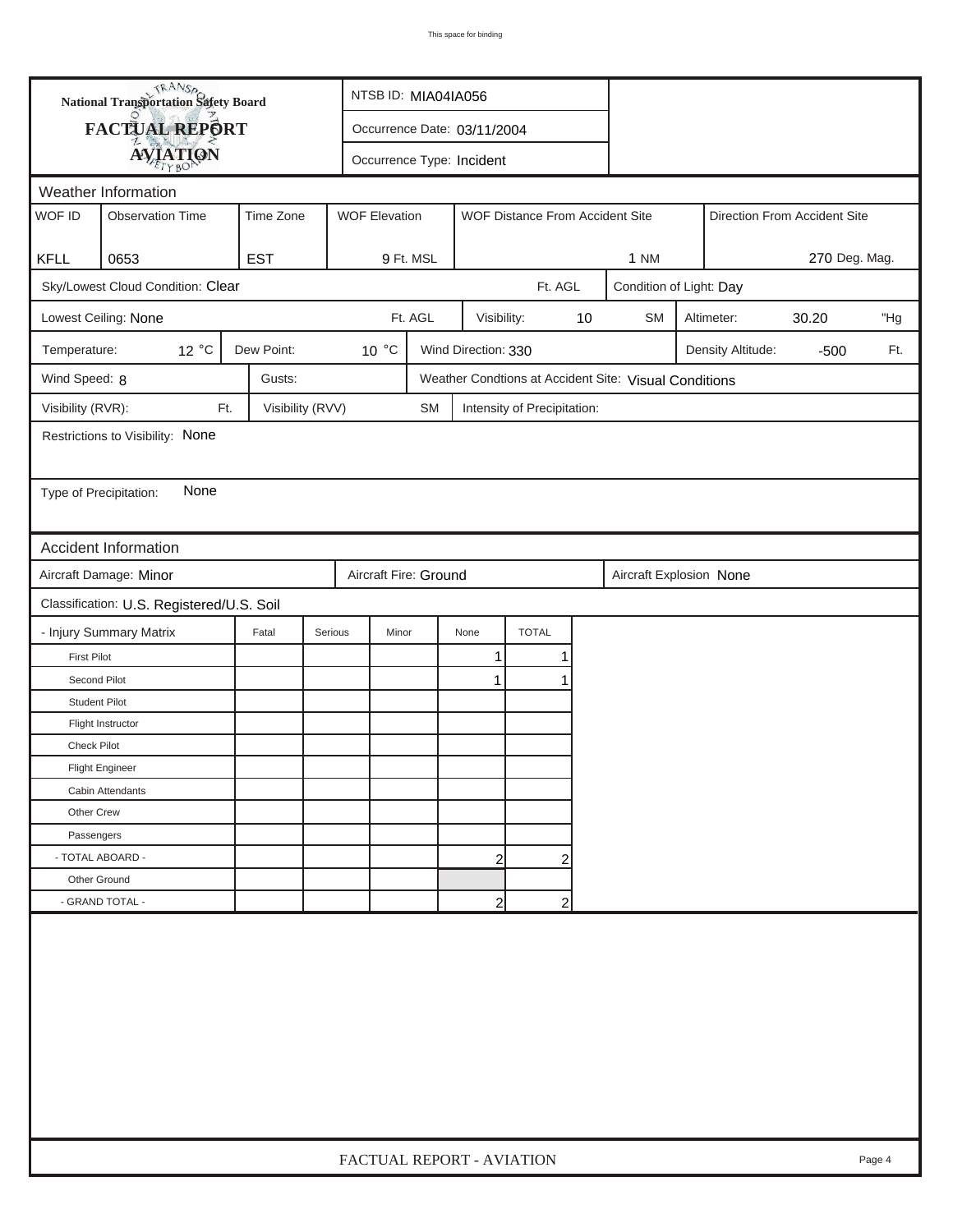| <b>National Transportation Safety Board</b><br>FACTUAL REPORT<br>Occurrence Date: 03/11/2004<br><b>AVIATION</b><br>Occurrence Type: Incident<br>Weather Information<br>WOF ID<br><b>Observation Time</b><br>Time Zone<br><b>WOF Elevation</b><br>WOF Distance From Accident Site<br><b>EST</b><br>KFLL<br>0653<br>9 Ft. MSL<br><b>1 NM</b><br>Sky/Lowest Cloud Condition: Clear<br>Ft. AGL<br>Condition of Light: Day<br>Ft. AGL<br><b>SM</b><br>Lowest Ceiling: None<br>Visibility:<br>10<br>Altimeter: | Direction From Accident Site<br>270 Deg. Mag. |  |  |  |  |  |  |  |  |
|----------------------------------------------------------------------------------------------------------------------------------------------------------------------------------------------------------------------------------------------------------------------------------------------------------------------------------------------------------------------------------------------------------------------------------------------------------------------------------------------------------|-----------------------------------------------|--|--|--|--|--|--|--|--|
|                                                                                                                                                                                                                                                                                                                                                                                                                                                                                                          |                                               |  |  |  |  |  |  |  |  |
|                                                                                                                                                                                                                                                                                                                                                                                                                                                                                                          |                                               |  |  |  |  |  |  |  |  |
|                                                                                                                                                                                                                                                                                                                                                                                                                                                                                                          |                                               |  |  |  |  |  |  |  |  |
|                                                                                                                                                                                                                                                                                                                                                                                                                                                                                                          |                                               |  |  |  |  |  |  |  |  |
|                                                                                                                                                                                                                                                                                                                                                                                                                                                                                                          |                                               |  |  |  |  |  |  |  |  |
|                                                                                                                                                                                                                                                                                                                                                                                                                                                                                                          |                                               |  |  |  |  |  |  |  |  |
|                                                                                                                                                                                                                                                                                                                                                                                                                                                                                                          |                                               |  |  |  |  |  |  |  |  |
|                                                                                                                                                                                                                                                                                                                                                                                                                                                                                                          | 30.20<br>"Hg                                  |  |  |  |  |  |  |  |  |
| 12 °C<br>Dew Point:<br>10 °C<br>Wind Direction: 330<br>Temperature:<br>Density Altitude:                                                                                                                                                                                                                                                                                                                                                                                                                 | Ft.<br>$-500$                                 |  |  |  |  |  |  |  |  |
| Wind Speed: 8<br>Gusts:<br>Weather Condtions at Accident Site: Visual Conditions                                                                                                                                                                                                                                                                                                                                                                                                                         |                                               |  |  |  |  |  |  |  |  |
| Visibility (RVR):<br>Visibility (RVV)<br>Ft.<br><b>SM</b><br>Intensity of Precipitation:                                                                                                                                                                                                                                                                                                                                                                                                                 |                                               |  |  |  |  |  |  |  |  |
| Restrictions to Visibility: None                                                                                                                                                                                                                                                                                                                                                                                                                                                                         |                                               |  |  |  |  |  |  |  |  |
|                                                                                                                                                                                                                                                                                                                                                                                                                                                                                                          |                                               |  |  |  |  |  |  |  |  |
| None<br>Type of Precipitation:                                                                                                                                                                                                                                                                                                                                                                                                                                                                           |                                               |  |  |  |  |  |  |  |  |
|                                                                                                                                                                                                                                                                                                                                                                                                                                                                                                          |                                               |  |  |  |  |  |  |  |  |
| Accident Information                                                                                                                                                                                                                                                                                                                                                                                                                                                                                     |                                               |  |  |  |  |  |  |  |  |
| Aircraft Damage: Minor<br>Aircraft Fire: Ground<br>Aircraft Explosion None                                                                                                                                                                                                                                                                                                                                                                                                                               |                                               |  |  |  |  |  |  |  |  |
| Classification: U.S. Registered/U.S. Soil                                                                                                                                                                                                                                                                                                                                                                                                                                                                |                                               |  |  |  |  |  |  |  |  |
| - Injury Summary Matrix<br><b>TOTAL</b><br>Fatal<br>Serious<br>Minor<br>None                                                                                                                                                                                                                                                                                                                                                                                                                             |                                               |  |  |  |  |  |  |  |  |
| 1<br><b>First Pilot</b><br>1                                                                                                                                                                                                                                                                                                                                                                                                                                                                             |                                               |  |  |  |  |  |  |  |  |
| Second Pilot<br>1<br>1                                                                                                                                                                                                                                                                                                                                                                                                                                                                                   |                                               |  |  |  |  |  |  |  |  |
| <b>Student Pilot</b>                                                                                                                                                                                                                                                                                                                                                                                                                                                                                     |                                               |  |  |  |  |  |  |  |  |
| Flight Instructor                                                                                                                                                                                                                                                                                                                                                                                                                                                                                        |                                               |  |  |  |  |  |  |  |  |
| <b>Check Pilot</b>                                                                                                                                                                                                                                                                                                                                                                                                                                                                                       |                                               |  |  |  |  |  |  |  |  |
| <b>Flight Engineer</b>                                                                                                                                                                                                                                                                                                                                                                                                                                                                                   |                                               |  |  |  |  |  |  |  |  |
| Cabin Attendants                                                                                                                                                                                                                                                                                                                                                                                                                                                                                         |                                               |  |  |  |  |  |  |  |  |
| Other Crew                                                                                                                                                                                                                                                                                                                                                                                                                                                                                               |                                               |  |  |  |  |  |  |  |  |
| Passengers                                                                                                                                                                                                                                                                                                                                                                                                                                                                                               |                                               |  |  |  |  |  |  |  |  |
| - TOTAL ABOARD -<br>$\overline{2}$<br>2                                                                                                                                                                                                                                                                                                                                                                                                                                                                  |                                               |  |  |  |  |  |  |  |  |
| Other Ground                                                                                                                                                                                                                                                                                                                                                                                                                                                                                             |                                               |  |  |  |  |  |  |  |  |
| - GRAND TOTAL -<br>$\overline{2}$<br>$\overline{c}$                                                                                                                                                                                                                                                                                                                                                                                                                                                      |                                               |  |  |  |  |  |  |  |  |